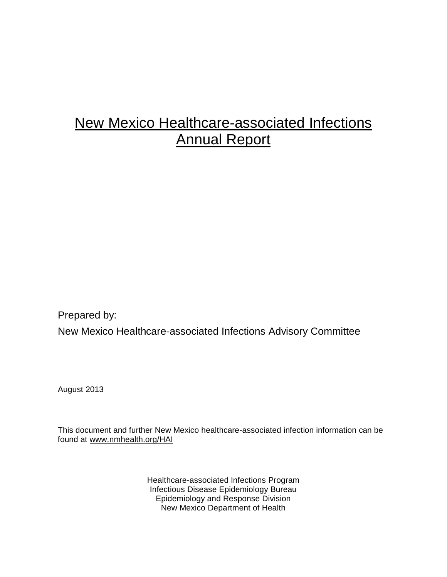# New Mexico Healthcare-associated Infections Annual Report

Prepared by:

New Mexico Healthcare-associated Infections Advisory Committee

August 2013

This document and further New Mexico healthcare-associated infection information can be found at [www.nmhealth.org/HAI](http://www.nmhealth.org/HAI)

> Healthcare-associated Infections Program Infectious Disease Epidemiology Bureau Epidemiology and Response Division New Mexico Department of Health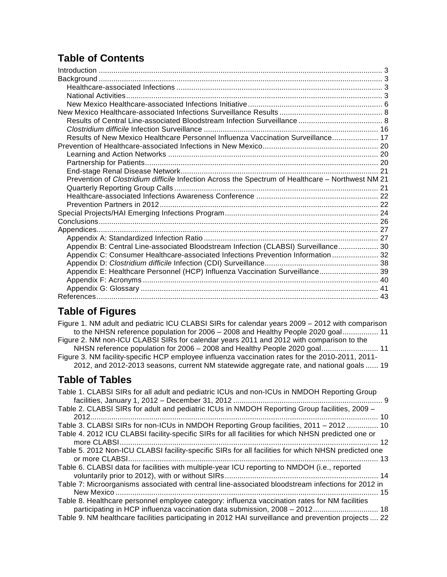# **Table of Contents**

| Results of New Mexico Healthcare Personnel Influenza Vaccination Surveillance 17                  |  |
|---------------------------------------------------------------------------------------------------|--|
|                                                                                                   |  |
|                                                                                                   |  |
|                                                                                                   |  |
|                                                                                                   |  |
| Prevention of Clostridium difficile Infection Across the Spectrum of Healthcare - Northwest NM 21 |  |
|                                                                                                   |  |
|                                                                                                   |  |
|                                                                                                   |  |
|                                                                                                   |  |
|                                                                                                   |  |
|                                                                                                   |  |
|                                                                                                   |  |
| Appendix B: Central Line-associated Bloodstream Infection (CLABSI) Surveillance 30                |  |
| Appendix C: Consumer Healthcare-associated Infections Prevention Information  32                  |  |
|                                                                                                   |  |
| Appendix E: Healthcare Personnel (HCP) Influenza Vaccination Surveillance 39                      |  |
|                                                                                                   |  |
|                                                                                                   |  |
|                                                                                                   |  |
|                                                                                                   |  |

# **Table of Figures**

| Figure 1. NM adult and pediatric ICU CLABSI SIRs for calendar years 2009 – 2012 with comparison<br>to the NHSN reference population for 2006 - 2008 and Healthy People 2020 goal 11<br>Figure 2. NM non-ICU CLABSI SIRs for calendar years 2011 and 2012 with comparison to the<br>NHSN reference population for 2006 - 2008 and Healthy People 2020 goal 11<br>Figure 3. NM facility-specific HCP employee influenza vaccination rates for the 2010-2011, 2011-<br>2012, and 2012-2013 seasons, current NM statewide aggregate rate, and national goals  19 |  |
|--------------------------------------------------------------------------------------------------------------------------------------------------------------------------------------------------------------------------------------------------------------------------------------------------------------------------------------------------------------------------------------------------------------------------------------------------------------------------------------------------------------------------------------------------------------|--|
| <b>Table of Tables</b>                                                                                                                                                                                                                                                                                                                                                                                                                                                                                                                                       |  |
| Table 1. CLABSI SIRs for all adult and pediatric ICUs and non-ICUs in NMDOH Reporting Group                                                                                                                                                                                                                                                                                                                                                                                                                                                                  |  |
| Table 2. CLABSI SIRs for adult and pediatric ICUs in NMDOH Reporting Group facilities, 2009 -                                                                                                                                                                                                                                                                                                                                                                                                                                                                |  |
| Table 3. CLABSI SIRs for non-ICUs in NMDOH Reporting Group facilities, 2011 - 2012  10<br>Table 4. 2012 ICU CLABSI facility-specific SIRs for all facilities for which NHSN predicted one or                                                                                                                                                                                                                                                                                                                                                                 |  |
| Table 5. 2012 Non-ICU CLABSI facility-specific SIRs for all facilities for which NHSN predicted one                                                                                                                                                                                                                                                                                                                                                                                                                                                          |  |
| Table 6. CLABSI data for facilities with multiple-year ICU reporting to NMDOH (i.e., reported                                                                                                                                                                                                                                                                                                                                                                                                                                                                |  |
| Table 7: Microorganisms associated with central line-associated bloodstream infections for 2012 in                                                                                                                                                                                                                                                                                                                                                                                                                                                           |  |
| Table 8. Healthcare personnel employee category: influenza vaccination rates for NM facilities<br>participating in HCP influenza vaccination data submission, 2008 - 2012 18<br>Table 9. NM healthcare facilities participating in 2012 HAI surveillance and prevention projects  22                                                                                                                                                                                                                                                                         |  |
|                                                                                                                                                                                                                                                                                                                                                                                                                                                                                                                                                              |  |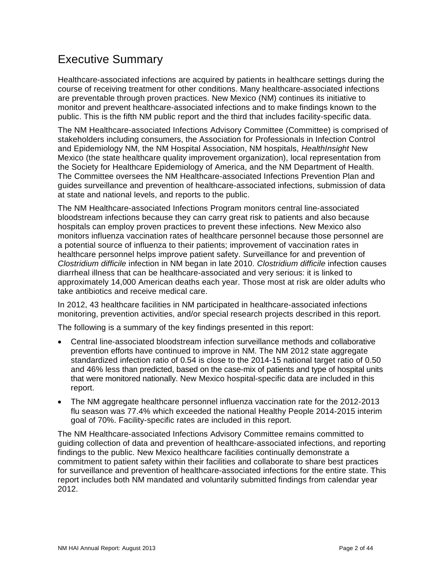# Executive Summary

Healthcare-associated infections are acquired by patients in healthcare settings during the course of receiving treatment for other conditions. Many healthcare-associated infections are preventable through proven practices. New Mexico (NM) continues its initiative to monitor and prevent healthcare-associated infections and to make findings known to the public. This is the fifth NM public report and the third that includes facility-specific data.

The NM Healthcare-associated Infections Advisory Committee (Committee) is comprised of stakeholders including consumers, the Association for Professionals in Infection Control and Epidemiology NM, the NM Hospital Association, NM hospitals, *HealthInsight* New Mexico (the state healthcare quality improvement organization), local representation from the Society for Healthcare Epidemiology of America, and the NM Department of Health. The Committee oversees the NM Healthcare-associated Infections Prevention Plan and guides surveillance and prevention of healthcare-associated infections, submission of data at state and national levels, and reports to the public.

The NM Healthcare-associated Infections Program monitors central line-associated bloodstream infections because they can carry great risk to patients and also because hospitals can employ proven practices to prevent these infections. New Mexico also monitors influenza vaccination rates of healthcare personnel because those personnel are a potential source of influenza to their patients; improvement of vaccination rates in healthcare personnel helps improve patient safety. Surveillance for and prevention of *Clostridium difficile* infection in NM began in late 2010. *Clostridium difficile* infection causes diarrheal illness that can be healthcare-associated and very serious: it is linked to approximately 14,000 American deaths each year. Those most at risk are older adults who take antibiotics and receive medical care.

In 2012, 43 healthcare facilities in NM participated in healthcare-associated infections monitoring, prevention activities, and/or special research projects described in this report.

The following is a summary of the key findings presented in this report:

- Central line-associated bloodstream infection surveillance methods and collaborative prevention efforts have continued to improve in NM. The NM 2012 state aggregate standardized infection ratio of 0.54 is close to the 2014-15 national target ratio of 0.50 and 46% less than predicted, based on the case-mix of patients and type of hospital units that were monitored nationally. New Mexico hospital-specific data are included in this report.
- The NM aggregate healthcare personnel influenza vaccination rate for the 2012-2013 flu season was 77.4% which exceeded the national Healthy People 2014-2015 interim goal of 70%. Facility-specific rates are included in this report.

The NM Healthcare-associated Infections Advisory Committee remains committed to guiding collection of data and prevention of healthcare-associated infections, and reporting findings to the public. New Mexico healthcare facilities continually demonstrate a commitment to patient safety within their facilities and collaborate to share best practices for surveillance and prevention of healthcare-associated infections for the entire state. This report includes both NM mandated and voluntarily submitted findings from calendar year 2012.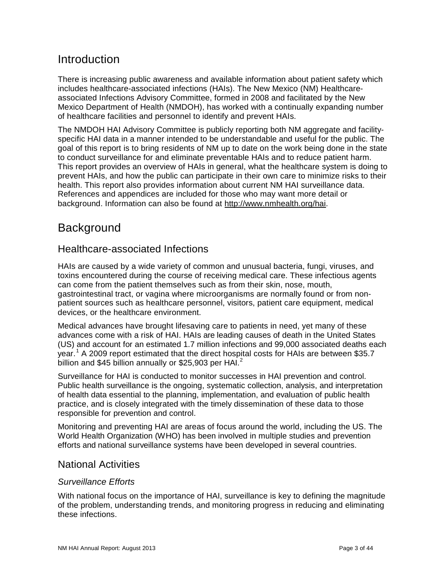# <span id="page-3-0"></span>**Introduction**

There is increasing public awareness and available information about patient safety which includes healthcare-associated infections (HAIs). The New Mexico (NM) Healthcareassociated Infections Advisory Committee, formed in 2008 and facilitated by the New Mexico Department of Health (NMDOH), has worked with a continually expanding number of healthcare facilities and personnel to identify and prevent HAIs.

The NMDOH HAI Advisory Committee is publicly reporting both NM aggregate and facilityspecific HAI data in a manner intended to be understandable and useful for the public. The goal of this report is to bring residents of NM up to date on the work being done in the state to conduct surveillance for and eliminate preventable HAIs and to reduce patient harm. This report provides an overview of HAIs in general, what the healthcare system is doing to prevent HAIs, and how the public can participate in their own care to minimize risks to their health. This report also provides information about current NM HAI surveillance data. References and appendices are included for those who may want more detail or background. Information can also be found at [http://www.nmhealth.org/hai.](http://www.nmhealth.org/hai)

## <span id="page-3-1"></span>**Background**

## <span id="page-3-2"></span>Healthcare-associated Infections

HAIs are caused by a wide variety of common and unusual bacteria, fungi, viruses, and toxins encountered during the course of receiving medical care. These infectious agents can come from the patient themselves such as from their skin, nose, mouth, gastrointestinal tract, or vagina where microorganisms are normally found or from nonpatient sources such as healthcare personnel, visitors, patient care equipment, medical devices, or the healthcare environment.

Medical advances have brought lifesaving care to patients in need, yet many of these advances come with a risk of HAI. HAIs are leading causes of death in the United States (US) and account for an estimated 1.7 million infections and 99,000 associated deaths each year.<sup>[1](#page-44-0)</sup> A 2009 report estimated that the direct hospital costs for HAIs are between \$35.7 billion and \$45 billion annually or \$[2](#page-44-1)5,903 per HAI.<sup>2</sup>

Surveillance for HAI is conducted to monitor successes in HAI prevention and control. Public health surveillance is the ongoing, systematic collection, analysis, and interpretation of health data essential to the planning, implementation, and evaluation of public health practice, and is closely integrated with the timely dissemination of these data to those responsible for prevention and control.

Monitoring and preventing HAI are areas of focus around the world, including the US. The World Health Organization (WHO) has been involved in multiple studies and prevention efforts and national surveillance systems have been developed in several countries.

## <span id="page-3-3"></span>National Activities

#### *Surveillance Efforts*

With national focus on the importance of HAI, surveillance is key to defining the magnitude of the problem, understanding trends, and monitoring progress in reducing and eliminating these infections.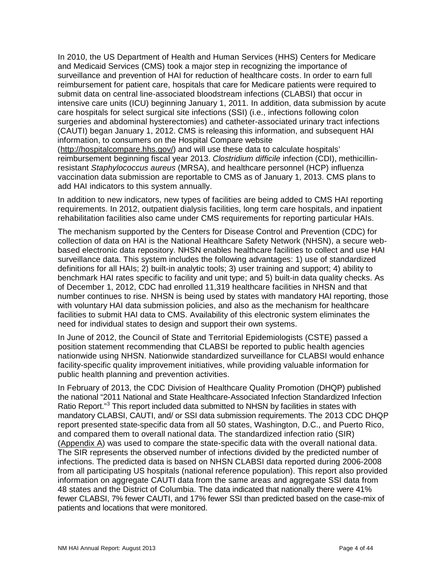In 2010, the US Department of Health and Human Services (HHS) Centers for Medicare and Medicaid Services (CMS) took a major step in recognizing the importance of surveillance and prevention of HAI for reduction of healthcare costs. In order to earn full reimbursement for patient care, hospitals that care for Medicare patients were required to submit data on central line-associated bloodstream infections (CLABSI) that occur in intensive care units (ICU) beginning January 1, 2011. In addition, data submission by acute care hospitals for select surgical site infections (SSI) (i.e., infections following colon surgeries and abdominal hysterectomies) and catheter-associated urinary tract infections (CAUTI) began January 1, 2012. CMS is releasing this information, and subsequent HAI information, to consumers on the Hospital Compare website [\(http://hospitalcompare.hhs.gov/\)](http://hospitalcompare.hhs.gov/) and will use these data to calculate hospitals'

reimbursement beginning fiscal year 2013. *Clostridium difficile* infection (CDI), methicillinresistant *Staphylococcus aureus* (MRSA), and healthcare personnel (HCP) influenza vaccination data submission are reportable to CMS as of January 1, 2013. CMS plans to add HAI indicators to this system annually.

In addition to new indicators, new types of facilities are being added to CMS HAI reporting requirements. In 2012, outpatient dialysis facilities, long term care hospitals, and inpatient rehabilitation facilities also came under CMS requirements for reporting particular HAIs.

The mechanism supported by the Centers for Disease Control and Prevention (CDC) for collection of data on HAI is the National Healthcare Safety Network (NHSN), a secure webbased electronic data repository. NHSN enables healthcare facilities to collect and use HAI surveillance data. This system includes the following advantages: 1) use of standardized definitions for all HAIs; 2) built-in analytic tools; 3) user training and support; 4) ability to benchmark HAI rates specific to facility and unit type; and 5) built-in data quality checks. As of December 1, 2012, CDC had enrolled 11,319 healthcare facilities in NHSN and that number continues to rise. NHSN is being used by states with mandatory HAI reporting, those with voluntary HAI data submission policies, and also as the mechanism for healthcare facilities to submit HAI data to CMS. Availability of this electronic system eliminates the need for individual states to design and support their own systems.

In June of 2012, the Council of State and Territorial Epidemiologists (CSTE) passed a position statement recommending that CLABSI be reported to public health agencies nationwide using NHSN. Nationwide standardized surveillance for CLABSI would enhance facility-specific quality improvement initiatives, while providing valuable information for public health planning and prevention activities.

In February of 2013, the CDC Division of Healthcare Quality Promotion (DHQP) published the national "2011 National and State Healthcare-Associated Infection Standardized Infection Ratio Report."<sup>[3](#page-44-2)</sup> This report included data submitted to NHSN by facilities in states with mandatory CLABSI, CAUTI, and/ or SSI data submission requirements. The 2013 CDC DHQP report presented state-specific data from all 50 states, Washington, D.C., and Puerto Rico, and compared them to overall national data. The standardized infection ratio (SIR) [\(Appendix A\)](#page-27-1) was used to compare the state-specific data with the overall national data. The SIR represents the observed number of infections divided by the predicted number of infections. The predicted data is based on NHSN CLABSI data reported during 2006-2008 from all participating US hospitals (national reference population). This report also provided information on aggregate CAUTI data from the same areas and aggregate SSI data from 48 states and the District of Columbia. The data indicated that nationally there were 41% fewer CLABSI, 7% fewer CAUTI, and 17% fewer SSI than predicted based on the case-mix of patients and locations that were monitored.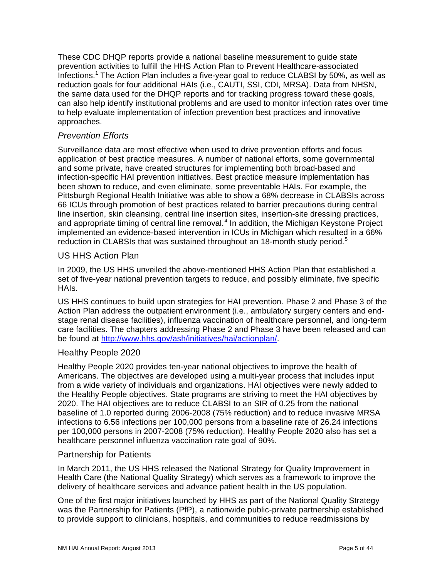These CDC DHQP reports provide a national baseline measurement to guide state prevention activities to fulfill the HHS Action Plan to Prevent Healthcare-associated Infections.<sup>1</sup> The Action Plan includes a five-year goal to reduce CLABSI by 50%, as well as reduction goals for four additional HAIs (i.e., CAUTI, SSI, CDI, MRSA). Data from NHSN, the same data used for the DHQP reports and for tracking progress toward these goals, can also help identify institutional problems and are used to monitor infection rates over time to help evaluate implementation of infection prevention best practices and innovative approaches.

#### *Prevention Efforts*

Surveillance data are most effective when used to drive prevention efforts and focus application of best practice measures. A number of national efforts, some governmental and some private, have created structures for implementing both broad-based and infection-specific HAI prevention initiatives. Best practice measure implementation has been shown to reduce, and even eliminate, some preventable HAIs. For example, the Pittsburgh Regional Health Initiative was able to show a 68% decrease in CLABSIs across 66 ICUs through promotion of best practices related to barrier precautions during central line insertion, skin cleansing, central line insertion sites, insertion-site dressing practices, and appropriate timing of central line removal.<sup>[4](#page-44-3)</sup> In addition, the Michigan Keystone Project implemented an evidence-based intervention in ICUs in Michigan which resulted in a 66% reduction in CLABSIs that was sustained throughout an 18-month study period.<sup>[5](#page-44-4)</sup>

#### US HHS Action Plan

In 2009, the US HHS unveiled the above-mentioned HHS Action Plan that established a set of five-year national prevention targets to reduce, and possibly eliminate, five specific HAIs.

US HHS continues to build upon strategies for HAI prevention. Phase 2 and Phase 3 of the Action Plan address the outpatient environment (i.e., ambulatory surgery centers and endstage renal disease facilities), influenza vaccination of healthcare personnel, and long-term care facilities. The chapters addressing Phase 2 and Phase 3 have been released and can be found at [http://www.hhs.gov/ash/initiatives/hai/actionplan/.](http://www.hhs.gov/ash/initiatives/hai/actionplan/)

#### Healthy People 2020

Healthy People 2020 provides ten-year national objectives to improve the health of Americans. The objectives are developed using a multi-year process that includes input from a wide variety of individuals and organizations. HAI objectives were newly added to the Healthy People objectives. State programs are striving to meet the HAI objectives by 2020. The HAI objectives are to reduce CLABSI to an SIR of 0.25 from the national baseline of 1.0 reported during 2006-2008 (75% reduction) and to reduce invasive MRSA infections to 6.56 infections per 100,000 persons from a baseline rate of 26.24 infections per 100,000 persons in 2007-2008 (75% reduction). Healthy People 2020 also has set a healthcare personnel influenza vaccination rate goal of 90%.

#### Partnership for Patients

In March 2011, the US HHS released the National Strategy for Quality Improvement in Health Care (the National Quality Strategy) which serves as a framework to improve the delivery of healthcare services and advance patient health in the US population.

One of the first major initiatives launched by HHS as part of the National Quality Strategy was the Partnership for Patients (PfP), a nationwide public-private partnership established to provide support to clinicians, hospitals, and communities to reduce readmissions by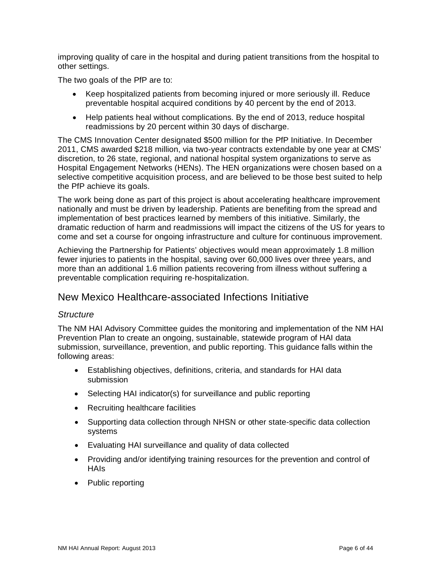improving quality of care in the hospital and during patient transitions from the hospital to other settings.

The two goals of the PfP are to:

- Keep hospitalized patients from becoming injured or more seriously ill. Reduce preventable hospital acquired conditions by 40 percent by the end of 2013.
- Help patients heal without complications. By the end of 2013, reduce hospital readmissions by 20 percent within 30 days of discharge.

The CMS Innovation Center designated \$500 million for the PfP Initiative. In December 2011, CMS awarded \$218 million, via two-year contracts extendable by one year at CMS' discretion, to 26 state, regional, and national hospital system organizations to serve as Hospital Engagement Networks (HENs). The HEN organizations were chosen based on a selective competitive acquisition process, and are believed to be those best suited to help the PfP achieve its goals.

The work being done as part of this project is about accelerating healthcare improvement nationally and must be driven by leadership. Patients are benefiting from the spread and implementation of best practices learned by members of this initiative. Similarly, the dramatic reduction of harm and readmissions will impact the citizens of the US for years to come and set a course for ongoing infrastructure and culture for continuous improvement.

Achieving the Partnership for Patients' objectives would mean approximately 1.8 million fewer injuries to patients in the hospital, saving over 60,000 lives over three years, and more than an additional 1.6 million patients recovering from illness without suffering a preventable complication requiring re-hospitalization.

#### <span id="page-6-0"></span>New Mexico Healthcare-associated Infections Initiative

#### *Structure*

The NM HAI Advisory Committee guides the monitoring and implementation of the NM HAI Prevention Plan to create an ongoing, sustainable, statewide program of HAI data submission, surveillance, prevention, and public reporting. This guidance falls within the following areas:

- Establishing objectives, definitions, criteria, and standards for HAI data submission
- Selecting HAI indicator(s) for surveillance and public reporting
- Recruiting healthcare facilities
- Supporting data collection through NHSN or other state-specific data collection systems
- Evaluating HAI surveillance and quality of data collected
- Providing and/or identifying training resources for the prevention and control of HAIs
- Public reporting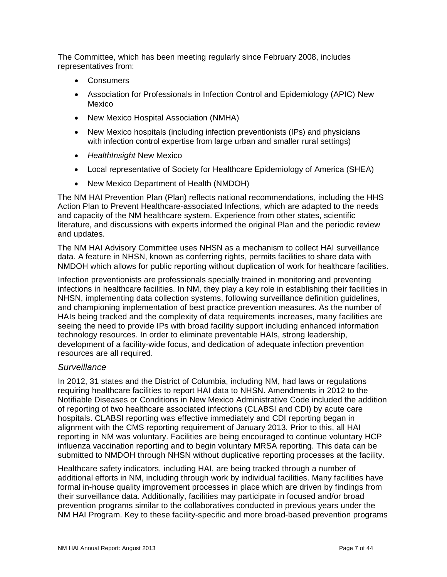The Committee, which has been meeting regularly since February 2008, includes representatives from:

- **Consumers**
- Association for Professionals in Infection Control and Epidemiology (APIC) New Mexico
- New Mexico Hospital Association (NMHA)
- New Mexico hospitals (including infection preventionists (IPs) and physicians with infection control expertise from large urban and smaller rural settings)
- *HealthInsight* New Mexico
- Local representative of Society for Healthcare Epidemiology of America (SHEA)
- New Mexico Department of Health (NMDOH)

The NM HAI Prevention Plan (Plan) reflects national recommendations, including the HHS Action Plan to Prevent Healthcare-associated Infections, which are adapted to the needs and capacity of the NM healthcare system. Experience from other states, scientific literature, and discussions with experts informed the original Plan and the periodic review and updates.

The NM HAI Advisory Committee uses NHSN as a mechanism to collect HAI surveillance data. A feature in NHSN, known as conferring rights, permits facilities to share data with NMDOH which allows for public reporting without duplication of work for healthcare facilities.

Infection preventionists are professionals specially trained in monitoring and preventing infections in healthcare facilities. In NM, they play a key role in establishing their facilities in NHSN, implementing data collection systems, following surveillance definition guidelines, and championing implementation of best practice prevention measures. As the number of HAIs being tracked and the complexity of data requirements increases, many facilities are seeing the need to provide IPs with broad facility support including enhanced information technology resources. In order to eliminate preventable HAIs, strong leadership, development of a facility-wide focus, and dedication of adequate infection prevention resources are all required.

#### *Surveillance*

In 2012, 31 states and the District of Columbia, including NM, had laws or regulations requiring healthcare facilities to report HAI data to NHSN. Amendments in 2012 to the Notifiable Diseases or Conditions in New Mexico Administrative Code included the addition of reporting of two healthcare associated infections (CLABSI and CDI) by acute care hospitals. CLABSI reporting was effective immediately and CDI reporting began in alignment with the CMS reporting requirement of January 2013. Prior to this, all HAI reporting in NM was voluntary. Facilities are being encouraged to continue voluntary HCP influenza vaccination reporting and to begin voluntary MRSA reporting. This data can be submitted to NMDOH through NHSN without duplicative reporting processes at the facility.

Healthcare safety indicators, including HAI, are being tracked through a number of additional efforts in NM, including through work by individual facilities. Many facilities have formal in-house quality improvement processes in place which are driven by findings from their surveillance data. Additionally, facilities may participate in focused and/or broad prevention programs similar to the collaboratives conducted in previous years under the NM HAI Program. Key to these facility-specific and more broad-based prevention programs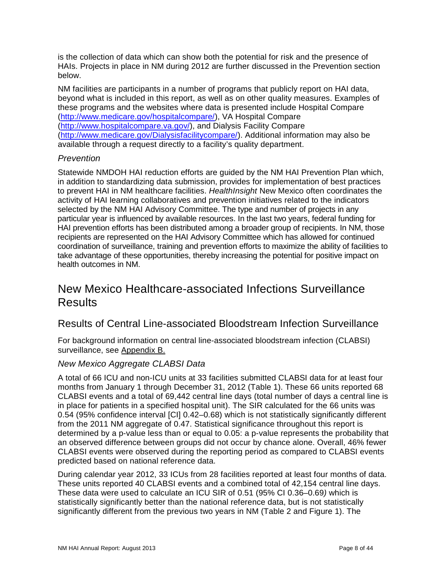is the collection of data which can show both the potential for risk and the presence of HAIs. Projects in place in NM during 2012 are further discussed in the Prevention section below.

NM facilities are participants in a number of programs that publicly report on HAI data, beyond what is included in this report, as well as on other quality measures. Examples of these programs and the websites where data is presented include Hospital Compare [\(http://www.medicare.gov/hospitalcompare/\)](http://www.medicare.gov/hospitalcompare/), VA Hospital Compare [\(http://www.hospitalcompare.va.gov/\)](http://www.hospitalcompare.va.gov/), and Dialysis Facility Compare [\(http://www.medicare.gov/Dialysisfacilitycompare/\)](http://www.medicare.gov/Dialysisfacilitycompare/). Additional information may also be available through a request directly to a facility's quality department.

#### *Prevention*

Statewide NMDOH HAI reduction efforts are guided by the NM HAI Prevention Plan which, in addition to standardizing data submission, provides for implementation of best practices to prevent HAI in NM healthcare facilities. *HealthInsight* New Mexico often coordinates the activity of HAI learning collaboratives and prevention initiatives related to the indicators selected by the NM HAI Advisory Committee. The type and number of projects in any particular year is influenced by available resources. In the last two years, federal funding for HAI prevention efforts has been distributed among a broader group of recipients. In NM, those recipients are represented on the HAI Advisory Committee which has allowed for continued coordination of surveillance, training and prevention efforts to maximize the ability of facilities to take advantage of these opportunities, thereby increasing the potential for positive impact on health outcomes in NM.

## <span id="page-8-0"></span>New Mexico Healthcare-associated Infections Surveillance **Results**

## <span id="page-8-1"></span>Results of Central Line-associated Bloodstream Infection Surveillance

For background information on central line-associated bloodstream infection (CLABSI) surveillance, see [Appendix B.](#page-30-0)

#### *New Mexico Aggregate CLABSI Data*

A total of 66 ICU and non-ICU units at 33 facilities submitted CLABSI data for at least four months from January 1 through December 31, 2012 (Table 1). These 66 units reported 68 CLABSI events and a total of 69,442 central line days (total number of days a central line is in place for patients in a specified hospital unit). The SIR calculated for the 66 units was 0.54 (95% confidence interval [CI] 0.42–0.68) which is not statistically significantly different from the 2011 NM aggregate of 0.47. Statistical significance throughout this report is determined by a p-value less than or equal to 0.05: a p-value represents the probability that an observed difference between groups did not occur by chance alone. Overall, 46% fewer CLABSI events were observed during the reporting period as compared to CLABSI events predicted based on national reference data.

During calendar year 2012, 33 ICUs from 28 facilities reported at least four months of data. These units reported 40 CLABSI events and a combined total of 42,154 central line days. These data were used to calculate an ICU SIR of 0.51 (95% CI 0.36–0.69*)* which is statistically significantly better than the national reference data, but is not statistically significantly different from the previous two years in NM (Table 2 and Figure 1). The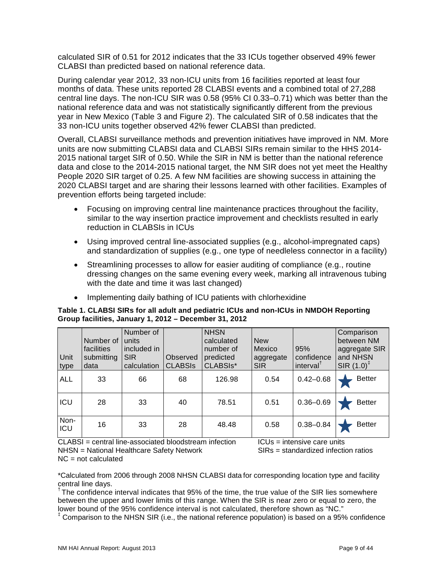calculated SIR of 0.51 for 2012 indicates that the 33 ICUs together observed 49% fewer CLABSI than predicted based on national reference data.

During calendar year 2012, 33 non-ICU units from 16 facilities reported at least four months of data. These units reported 28 CLABSI events and a combined total of 27,288 central line days. The non-ICU SIR was 0.58 (95% CI 0.33–0.71) which was better than the national reference data and was not statistically significantly different from the previous year in New Mexico (Table 3 and Figure 2). The calculated SIR of 0.58 indicates that the 33 non-ICU units together observed 42% fewer CLABSI than predicted.

Overall, CLABSI surveillance methods and prevention initiatives have improved in NM. More units are now submitting CLABSI data and CLABSI SIRs remain similar to the HHS 2014- 2015 national target SIR of 0.50. While the SIR in NM is better than the national reference data and close to the 2014-2015 national target, the NM SIR does not yet meet the Healthy People 2020 SIR target of 0.25. A few NM facilities are showing success in attaining the 2020 CLABSI target and are sharing their lessons learned with other facilities. Examples of prevention efforts being targeted include:

- Focusing on improving central line maintenance practices throughout the facility, similar to the way insertion practice improvement and checklists resulted in early reduction in CLABSIs in ICUs
- Using improved central line-associated supplies (e.g., alcohol-impregnated caps) and standardization of supplies (e.g., one type of needleless connector in a facility)
- Streamlining processes to allow for easier auditing of compliance (e.g., routine dressing changes on the same evening every week, marking all intravenous tubing with the date and time it was last changed)
- Implementing daily bathing of ICU patients with chlorhexidine

<span id="page-9-0"></span>**Table 1. CLABSI SIRs for all adult and pediatric ICUs and non-ICUs in NMDOH Reporting Group facilities, January 1, 2012 – December 31, 2012**

| Unit<br>type | Number of<br>facilities<br>submitting<br>data | Number of<br>units<br>included in<br><b>SIR</b><br>calculation | Observed<br><b>CLABSIS</b> | <b>NHSN</b><br>calculated<br>number of<br>predicted<br>CLABSIs* | <b>New</b><br>Mexico<br>aggregate<br><b>SIR</b> | 95%<br>confidence<br>interval <sup>†</sup> | Comparison<br>between NM<br>aggregate SIR<br>and NHSN<br>SIR $(1.0)^{\ddagger}$ |
|--------------|-----------------------------------------------|----------------------------------------------------------------|----------------------------|-----------------------------------------------------------------|-------------------------------------------------|--------------------------------------------|---------------------------------------------------------------------------------|
| <b>ALL</b>   | 33                                            | 66                                                             | 68                         | 126.98                                                          | 0.54                                            | $0.42 - 0.68$                              | <b>Better</b>                                                                   |
| ICU          | 28                                            | 33                                                             | 40                         | 78.51                                                           | 0.51                                            | $0.36 - 0.69$                              | <b>Better</b>                                                                   |
| Non-<br>ICU  | 16                                            | 33                                                             | 28                         | 48.48                                                           | 0.58                                            | $0.38 - 0.84$                              | <b>Better</b>                                                                   |

 $CLABSI =$  central line-associated bloodstream infection  $ICUs =$  intensive care units NHSN = National Healthcare Safety Network SIRs = standardized infection ratios

 $NC = not calculated$ 

\*Calculated from 2006 through 2008 NHSN CLABSI data for corresponding location type and facility central line days.

<sup>†</sup> The confidence interval indicates that 95% of the time, the true value of the SIR lies somewhere between the upper and lower limits of this range. When the SIR is near zero or equal to zero, the lower bound of the 95% confidence interval is not calculated, therefore shown as "NC."

<sup>‡</sup> Comparison to the NHSN SIR (i.e., the national reference population) is based on a 95% confidence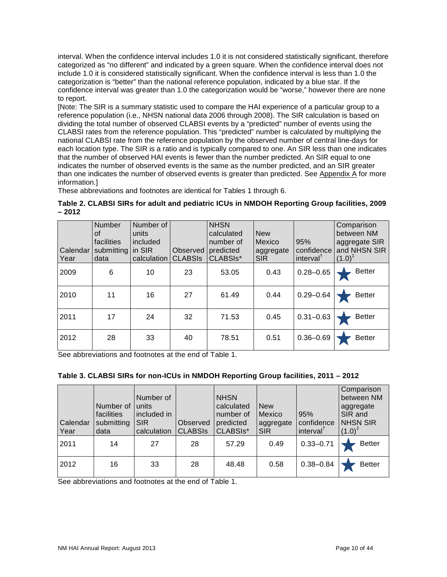interval. When the confidence interval includes 1.0 it is not considered statistically significant, therefore categorized as "no different" and indicated by a green square. When the confidence interval does not include 1.0 it is considered statistically significant. When the confidence interval is less than 1.0 the categorization is "better" than the national reference population, indicated by a blue star. If the confidence interval was greater than 1.0 the categorization would be "worse," however there are none to report.

[Note: The SIR is a summary statistic used to compare the HAI experience of a particular group to a reference population (i.e., NHSN national data 2006 through 2008). The SIR calculation is based on dividing the total number of observed CLABSI events by a "predicted" number of events using the CLABSI rates from the reference population. This "predicted" number is calculated by multiplying the national CLABSI rate from the reference population by the observed number of central line-days for each location type. The SIR is a ratio and is typically compared to one. An SIR less than one indicates that the number of observed HAI events is fewer than the number predicted. An SIR equal to one indicates the number of observed events is the same as the number predicted, and an SIR greater than one indicates the number of observed events is greater than predicted. See [Appendix A](#page-27-1) for more information.]

These abbreviations and footnotes are identical for Tables 1 through 6.

#### <span id="page-10-0"></span>**Table 2. CLABSI SIRs for adult and pediatric ICUs in NMDOH Reporting Group facilities, 2009 – 2012**

| Calendar I<br>Year | <b>Number</b><br>οf<br>facilities<br>submitting<br>data | Number of<br>units<br>included<br>in SIR<br>calculation | Observed<br><b>CLABSIS</b> | <b>NHSN</b><br>calculated<br>number of<br>predicted<br>CLABSI <sub>S</sub> * | <b>New</b><br>Mexico<br>aggregate<br><b>SIR</b> | 95%<br>confidence<br>interval <sup>†</sup> | Comparison<br>between NM<br>aggregate SIR<br>and NHSN SIR<br>$(1.0)^{\ddagger}$ |
|--------------------|---------------------------------------------------------|---------------------------------------------------------|----------------------------|------------------------------------------------------------------------------|-------------------------------------------------|--------------------------------------------|---------------------------------------------------------------------------------|
| 2009               | 6                                                       | 10                                                      | 23                         | 53.05                                                                        | 0.43                                            | $0.28 - 0.65$                              | <b>Better</b>                                                                   |
| 2010               | 11                                                      | 16                                                      | 27                         | 61.49                                                                        | 0.44                                            | $0.29 - 0.64$                              | <b>Better</b>                                                                   |
| 2011               | 17                                                      | 24                                                      | 32                         | 71.53                                                                        | 0.45                                            | $0.31 - 0.63$                              | <b>Better</b>                                                                   |
| 2012               | 28                                                      | 33                                                      | 40                         | 78.51                                                                        | 0.51                                            | $0.36 - 0.69$                              | <b>Better</b>                                                                   |

See abbreviations and footnotes at the end of Table 1.

#### <span id="page-10-1"></span>**Table 3. CLABSI SIRs for non-ICUs in NMDOH Reporting Group facilities, 2011 – 2012**

| Calendar<br>Year | Number of   units<br>facilities<br>submitting<br>data | Number of<br>included in<br><b>SIR</b><br>calculation | Observed<br><b>CLABSIS</b> | <b>NHSN</b><br>calculated<br>number of<br>predicted<br>CLABSIS <sup>*</sup> | <b>New</b><br>Mexico<br>aggregate<br><b>SIR</b> | 95%<br>confidence<br>interval <sup>†</sup> | Comparison<br>between NM<br>aggregate<br>SIR and<br><b>NHSN SIR</b><br>$(1.0)^{4}$ |
|------------------|-------------------------------------------------------|-------------------------------------------------------|----------------------------|-----------------------------------------------------------------------------|-------------------------------------------------|--------------------------------------------|------------------------------------------------------------------------------------|
| 2011             | 14                                                    | 27                                                    | 28                         | 57.29                                                                       | 0.49                                            | $0.33 - 0.71$                              | <b>Better</b>                                                                      |
| 2012             | 16                                                    | 33                                                    | 28                         | 48.48                                                                       | 0.58                                            | $0.38 - 0.84$                              | <b>Better</b>                                                                      |

See abbreviations and footnotes at the end of Table 1.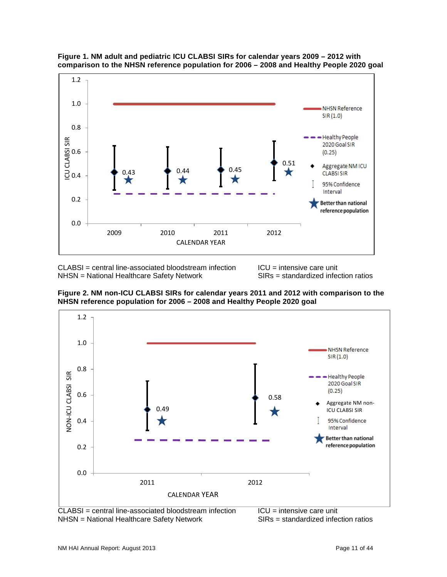

<span id="page-11-0"></span>

CLABSI = central line-associated bloodstream infection ICU = intensive care unit<br>NHSN = National Healthcare Safety Network SIRs = standardized infection ratios NHSN = National Healthcare Safety Network

<span id="page-11-1"></span>**Figure 2. NM non-ICU CLABSI SIRs for calendar years 2011 and 2012 with comparison to the NHSN reference population for 2006 – 2008 and Healthy People 2020 goal**



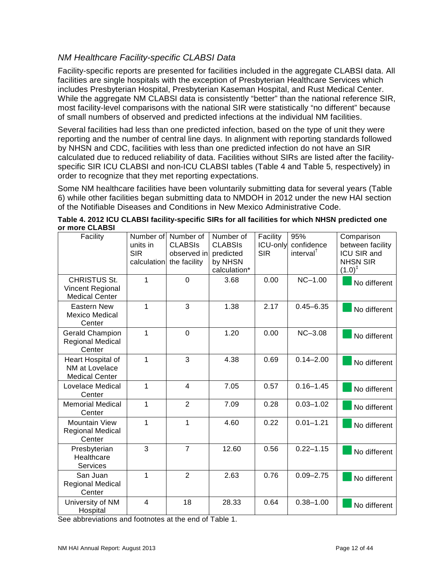### *NM Healthcare Facility-specific CLABSI Data*

Facility-specific reports are presented for facilities included in the aggregate CLABSI data. All facilities are single hospitals with the exception of Presbyterian Healthcare Services which includes Presbyterian Hospital, Presbyterian Kaseman Hospital, and Rust Medical Center. While the aggregate NM CLABSI data is consistently "better" than the national reference SIR, most facility-level comparisons with the national SIR were statistically "no different" because of small numbers of observed and predicted infections at the individual NM facilities.

Several facilities had less than one predicted infection, based on the type of unit they were reporting and the number of central line days. In alignment with reporting standards followed by NHSN and CDC, facilities with less than one predicted infection do not have an SIR calculated due to reduced reliability of data. Facilities without SIRs are listed after the facilityspecific SIR ICU CLABSI and non-ICU CLABSI tables (Table 4 and Table 5, respectively) in order to recognize that they met reporting expectations.

Some NM healthcare facilities have been voluntarily submitting data for several years (Table 6) while other facilities began submitting data to NMDOH in 2012 under the new HAI section of the Notifiable Diseases and Conditions in New Mexico Administrative Code.

<span id="page-12-0"></span>

| or more CLABSI | Table 4. 2012 ICU CLABSI facility-specific SIRs for all facilities for which NHSN predicted one |  |  |  |  |
|----------------|-------------------------------------------------------------------------------------------------|--|--|--|--|
|                |                                                                                                 |  |  |  |  |

| Facility                                                                | Number of<br>units in<br><b>SIR</b><br>calculation | Number of<br><b>CLABSIS</b><br>observed in<br>the facility | Number of<br><b>CLABSIS</b><br>predicted<br>by NHSN<br>calculation* | Facility<br>ICU-only<br><b>SIR</b> | 95%<br>confidence<br>interval <sup>†</sup> | Comparison<br>between facility<br>ICU SIR and<br><b>NHSN SIR</b><br>$(1.0)^{\ddagger}$ |
|-------------------------------------------------------------------------|----------------------------------------------------|------------------------------------------------------------|---------------------------------------------------------------------|------------------------------------|--------------------------------------------|----------------------------------------------------------------------------------------|
| <b>CHRISTUS St.</b><br><b>Vincent Regional</b><br><b>Medical Center</b> | 1                                                  | $\overline{0}$                                             | 3.68                                                                | 0.00                               | $NC-1.00$                                  | No different                                                                           |
| <b>Eastern New</b><br><b>Mexico Medical</b><br>Center                   | 1                                                  | 3                                                          | 1.38                                                                | 2.17                               | $0.45 - 6.35$                              | No different                                                                           |
| <b>Gerald Champion</b><br><b>Regional Medical</b><br>Center             | 1                                                  | $\overline{0}$                                             | 1.20                                                                | 0.00                               | $NC-3.08$                                  | No different                                                                           |
| Heart Hospital of<br>NM at Lovelace<br><b>Medical Center</b>            | 1                                                  | 3                                                          | 4.38                                                                | 0.69                               | $0.14 - 2.00$                              | No different                                                                           |
| Lovelace Medical<br>Center                                              | 1                                                  | $\overline{4}$                                             | 7.05                                                                | 0.57                               | $0.16 - 1.45$                              | No different                                                                           |
| <b>Memorial Medical</b><br>Center                                       | 1                                                  | $\overline{2}$                                             | 7.09                                                                | 0.28                               | $0.03 - 1.02$                              | No different                                                                           |
| <b>Mountain View</b><br><b>Regional Medical</b><br>Center               | 1                                                  | 1                                                          | 4.60                                                                | 0.22                               | $0.01 - 1.21$                              | No different                                                                           |
| Presbyterian<br>Healthcare<br>Services                                  | 3                                                  | $\overline{7}$                                             | 12.60                                                               | 0.56                               | $0.22 - 1.15$                              | No different                                                                           |
| San Juan<br><b>Regional Medical</b><br>Center                           | 1                                                  | $\overline{2}$                                             | 2.63                                                                | 0.76                               | $0.09 - 2.75$                              | No different                                                                           |
| University of NM<br>Hospital                                            | $\overline{4}$                                     | 18                                                         | 28.33                                                               | 0.64                               | $0.38 - 1.00$                              | No different                                                                           |

See abbreviations and footnotes at the end of Table 1.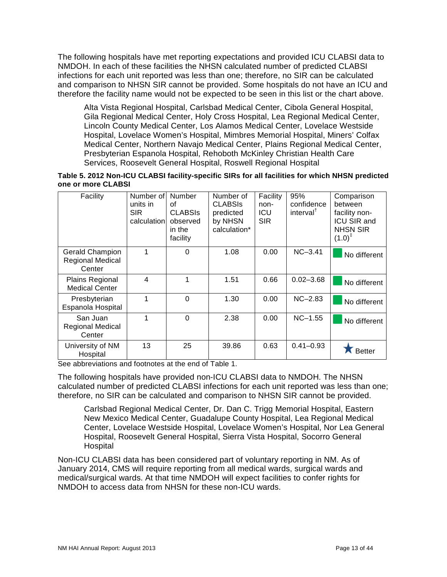The following hospitals have met reporting expectations and provided ICU CLABSI data to NMDOH. In each of these facilities the NHSN calculated number of predicted CLABSI infections for each unit reported was less than one; therefore, no SIR can be calculated and comparison to NHSN SIR cannot be provided. Some hospitals do not have an ICU and therefore the facility name would not be expected to be seen in this list or the chart above.

Alta Vista Regional Hospital, Carlsbad Medical Center, Cibola General Hospital, Gila Regional Medical Center, Holy Cross Hospital, Lea Regional Medical Center, Lincoln County Medical Center, Los Alamos Medical Center, Lovelace Westside Hospital, Lovelace Women's Hospital, Mimbres Memorial Hospital, Miners' Colfax Medical Center, Northern Navajo Medical Center, Plains Regional Medical Center, Presbyterian Espanola Hospital, Rehoboth McKinley Christian Health Care Services, Roosevelt General Hospital, Roswell Regional Hospital

#### <span id="page-13-0"></span>**Table 5. 2012 Non-ICU CLABSI facility-specific SIRs for all facilities for which NHSN predicted one or more CLABSI**

| Facility                                             | Number of<br>units in<br><b>SIR</b><br>calculation | <b>Number</b><br>οf<br><b>CLABSIS</b><br>observed<br>in the<br>facility | Number of<br><b>CLABSIS</b><br>predicted<br>by NHSN<br>calculation* | Facility<br>non-<br>ICU<br><b>SIR</b> | 95%<br>confidence<br>interval <sup>†</sup> | Comparison<br>between<br>facility non-<br><b>ICU SIR and</b><br><b>NHSN SIR</b><br>$(1.0)^{\ddagger}$ |
|------------------------------------------------------|----------------------------------------------------|-------------------------------------------------------------------------|---------------------------------------------------------------------|---------------------------------------|--------------------------------------------|-------------------------------------------------------------------------------------------------------|
| Gerald Champion<br><b>Regional Medical</b><br>Center |                                                    | 0                                                                       | 1.08                                                                | 0.00                                  | $NC-3.41$                                  | No different                                                                                          |
| <b>Plains Regional</b><br><b>Medical Center</b>      | $\overline{4}$                                     | 1                                                                       | 1.51                                                                | 0.66                                  | $0.02 - 3.68$                              | No different                                                                                          |
| Presbyterian<br>Espanola Hospital                    | 1                                                  | $\Omega$                                                                | 1.30                                                                | 0.00                                  | $NC-2.83$                                  | No different                                                                                          |
| San Juan<br><b>Regional Medical</b><br>Center        | 1                                                  | $\Omega$                                                                | 2.38                                                                | 0.00                                  | $NC-1.55$                                  | No different                                                                                          |
| University of NM<br>Hospital                         | 13                                                 | 25                                                                      | 39.86                                                               | 0.63                                  | $0.41 - 0.93$                              | <b>Better</b>                                                                                         |

See abbreviations and footnotes at the end of Table 1.

The following hospitals have provided non-ICU CLABSI data to NMDOH. The NHSN calculated number of predicted CLABSI infections for each unit reported was less than one; therefore, no SIR can be calculated and comparison to NHSN SIR cannot be provided.

Carlsbad Regional Medical Center, Dr. Dan C. Trigg Memorial Hospital, Eastern New Mexico Medical Center, Guadalupe County Hospital, Lea Regional Medical Center, Lovelace Westside Hospital, Lovelace Women's Hospital, Nor Lea General Hospital, Roosevelt General Hospital, Sierra Vista Hospital, Socorro General Hospital

Non-ICU CLABSI data has been considered part of voluntary reporting in NM. As of January 2014, CMS will require reporting from all medical wards, surgical wards and medical/surgical wards. At that time NMDOH will expect facilities to confer rights for NMDOH to access data from NHSN for these non-ICU wards.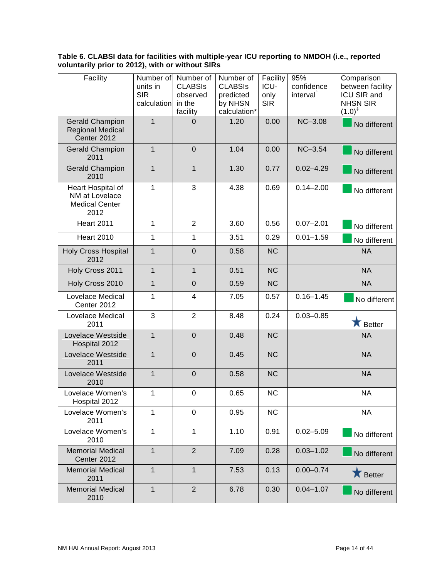#### <span id="page-14-0"></span>**Table 6. CLABSI data for facilities with multiple-year ICU reporting to NMDOH (i.e., reported voluntarily prior to 2012), with or without SIRs**

| Facility                                                             | Number of<br>units in<br><b>SIR</b><br>calculation | Number of<br><b>CLABSIS</b><br>observed<br>in the<br>facility | Number of<br><b>CLABSIS</b><br>predicted<br>by NHSN<br>calculation* | Facility<br>ICU-<br>only<br><b>SIR</b> | 95%<br>confidence<br>interval <sup>†</sup> | Comparison<br>between facility<br>ICU SIR and<br><b>NHSN SIR</b><br>$(1.0)^{\ddagger}$ |
|----------------------------------------------------------------------|----------------------------------------------------|---------------------------------------------------------------|---------------------------------------------------------------------|----------------------------------------|--------------------------------------------|----------------------------------------------------------------------------------------|
| <b>Gerald Champion</b><br><b>Regional Medical</b><br>Center 2012     | 1                                                  | 0                                                             | 1.20                                                                | 0.00                                   | $NC-3.08$                                  | No different                                                                           |
| <b>Gerald Champion</b><br>2011                                       | $\mathbf{1}$                                       | $\mathbf 0$                                                   | 1.04                                                                | 0.00                                   | $NC-3.54$                                  | No different                                                                           |
| <b>Gerald Champion</b><br>2010                                       | $\overline{1}$                                     | $\overline{1}$                                                | 1.30                                                                | 0.77                                   | $0.02 - 4.29$                              | No different                                                                           |
| Heart Hospital of<br>NM at Lovelace<br><b>Medical Center</b><br>2012 | 1                                                  | 3                                                             | 4.38                                                                | 0.69                                   | $0.14 - 2.00$                              | No different                                                                           |
| <b>Heart 2011</b>                                                    | $\mathbf{1}$                                       | $\overline{2}$                                                | 3.60                                                                | 0.56                                   | $0.07 - 2.01$                              | No different                                                                           |
| <b>Heart 2010</b>                                                    | 1                                                  | 1                                                             | 3.51                                                                | 0.29                                   | $0.01 - 1.59$                              | No different                                                                           |
| <b>Holy Cross Hospital</b><br>2012                                   | $\overline{1}$                                     | $\overline{0}$                                                | 0.58                                                                | <b>NC</b>                              |                                            | <b>NA</b>                                                                              |
| Holy Cross 2011                                                      | $\mathbf{1}$                                       | $\mathbf{1}$                                                  | 0.51                                                                | <b>NC</b>                              |                                            | <b>NA</b>                                                                              |
| Holy Cross 2010                                                      | $\overline{1}$                                     | $\overline{0}$                                                | 0.59                                                                | <b>NC</b>                              |                                            | <b>NA</b>                                                                              |
| Lovelace Medical<br>Center 2012                                      | 1                                                  | $\overline{\mathbf{4}}$                                       | 7.05                                                                | 0.57                                   | $0.16 - 1.45$                              | No different                                                                           |
| Lovelace Medical<br>2011                                             | 3                                                  | $\overline{2}$                                                | 8.48                                                                | 0.24                                   | $0.03 - 0.85$                              | <b>K</b> Better                                                                        |
| Lovelace Westside<br>Hospital 2012                                   | $\mathbf{1}$                                       | $\mathbf 0$                                                   | 0.48                                                                | <b>NC</b>                              |                                            | <b>NA</b>                                                                              |
| Lovelace Westside<br>2011                                            | $\mathbf{1}$                                       | $\overline{0}$                                                | 0.45                                                                | <b>NC</b>                              |                                            | <b>NA</b>                                                                              |
| Lovelace Westside<br>2010                                            | $\mathbf{1}$                                       | $\overline{0}$                                                | 0.58                                                                | <b>NC</b>                              |                                            | <b>NA</b>                                                                              |
| Lovelace Women's<br>Hospital 2012                                    | 1                                                  | 0                                                             | 0.65                                                                | <b>NC</b>                              |                                            | <b>NA</b>                                                                              |
| Lovelace Women's<br>2011                                             | 1                                                  | 0                                                             | 0.95                                                                | <b>NC</b>                              |                                            | <b>NA</b>                                                                              |
| Lovelace Women's<br>2010                                             | 1                                                  | 1                                                             | 1.10                                                                | 0.91                                   | $0.02 - 5.09$                              | No different                                                                           |
| <b>Memorial Medical</b><br>Center 2012                               | $\mathbf{1}$                                       | $\overline{2}$                                                | 7.09                                                                | 0.28                                   | $0.03 - 1.02$                              | No different                                                                           |
| <b>Memorial Medical</b><br>2011                                      | $\mathbf{1}$                                       | $\overline{1}$                                                | 7.53                                                                | 0.13                                   | $0.00 - 0.74$                              | <b>X</b> Better                                                                        |
| <b>Memorial Medical</b><br>2010                                      | $\mathbf{1}$                                       | $\overline{2}$                                                | 6.78                                                                | 0.30                                   | $0.04 - 1.07$                              | No different                                                                           |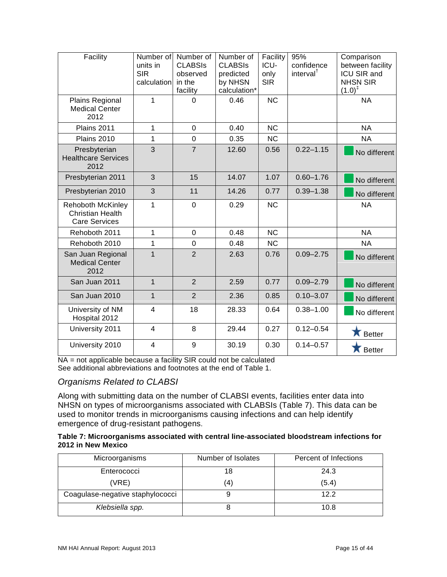| Facility                                                                    | Number of<br>units in<br><b>SIR</b><br>calculation | Number of<br><b>CLABSIS</b><br>observed<br>in the<br>facility | Number of<br><b>CLABSIS</b><br>predicted<br>by NHSN<br>calculation* | Facility<br>ICU-<br>only<br><b>SIR</b> | 95%<br>confidence<br>interval <sup>†</sup> | Comparison<br>between facility<br>ICU SIR and<br><b>NHSN SIR</b><br>$(1.0)^{\ddagger}$ |
|-----------------------------------------------------------------------------|----------------------------------------------------|---------------------------------------------------------------|---------------------------------------------------------------------|----------------------------------------|--------------------------------------------|----------------------------------------------------------------------------------------|
| Plains Regional<br><b>Medical Center</b><br>2012                            | $\mathbf 1$                                        | 0                                                             | 0.46                                                                | <b>NC</b>                              |                                            | <b>NA</b>                                                                              |
| Plains 2011                                                                 | $\mathbf{1}$                                       | $\mathbf 0$                                                   | 0.40                                                                | <b>NC</b>                              |                                            | <b>NA</b>                                                                              |
| Plains 2010                                                                 | 1                                                  | $\overline{0}$                                                | 0.35                                                                | <b>NC</b>                              |                                            | <b>NA</b>                                                                              |
| Presbyterian<br><b>Healthcare Services</b><br>2012                          | 3                                                  | $\overline{7}$                                                | 12.60                                                               | 0.56                                   | $0.22 - 1.15$                              | No different                                                                           |
| Presbyterian 2011                                                           | 3                                                  | 15                                                            | 14.07                                                               | 1.07                                   | $0.60 - 1.76$                              | No different                                                                           |
| Presbyterian 2010                                                           | 3                                                  | 11                                                            | 14.26                                                               | 0.77                                   | $0.39 - 1.38$                              | No different                                                                           |
| <b>Rehoboth McKinley</b><br><b>Christian Health</b><br><b>Care Services</b> | 1                                                  | $\mathbf 0$                                                   | 0.29                                                                | N <sub>C</sub>                         |                                            | <b>NA</b>                                                                              |
| Rehoboth 2011                                                               | 1                                                  | $\overline{0}$                                                | 0.48                                                                | <b>NC</b>                              |                                            | <b>NA</b>                                                                              |
| Rehoboth 2010                                                               | 1                                                  | 0                                                             | 0.48                                                                | <b>NC</b>                              |                                            | <b>NA</b>                                                                              |
| San Juan Regional<br><b>Medical Center</b><br>2012                          | $\mathbf{1}$                                       | $\overline{2}$                                                | 2.63                                                                | 0.76                                   | $0.09 - 2.75$                              | No different                                                                           |
| San Juan 2011                                                               | $\mathbf{1}$                                       | $\overline{2}$                                                | 2.59                                                                | 0.77                                   | $0.09 - 2.79$                              | No different                                                                           |
| San Juan 2010                                                               | $\overline{1}$                                     | $\overline{2}$                                                | 2.36                                                                | 0.85                                   | $0.10 - 3.07$                              | No different                                                                           |
| University of NM<br>Hospital 2012                                           | $\overline{4}$                                     | 18                                                            | 28.33                                                               | 0.64                                   | $0.38 - 1.00$                              | No different                                                                           |
| University 2011                                                             | $\overline{4}$                                     | 8                                                             | 29.44                                                               | 0.27                                   | $0.12 - 0.54$                              | <b>X</b> Better                                                                        |
| University 2010                                                             | $\overline{4}$                                     | 9                                                             | 30.19                                                               | 0.30                                   | $0.14 - 0.57$                              | Better                                                                                 |

NA = not applicable because a facility SIR could not be calculated See additional abbreviations and footnotes at the end of Table 1.

#### *Organisms Related to CLABSI*

Along with submitting data on the number of CLABSI events, facilities enter data into NHSN on types of microorganisms associated with CLABSIs (Table 7). This data can be used to monitor trends in microorganisms causing infections and can help identify emergence of drug-resistant pathogens.

#### <span id="page-15-0"></span>**Table 7: Microorganisms associated with central line-associated bloodstream infections for 2012 in New Mexico**

| Microorganisms                   | Number of Isolates | Percent of Infections |
|----------------------------------|--------------------|-----------------------|
| Enterococci                      | 18                 | 24.3                  |
| (VRE)                            | (4)                | (5.4)                 |
| Coagulase-negative staphylococci |                    | 12.2                  |
| Klebsiella spp.                  |                    | 10.8                  |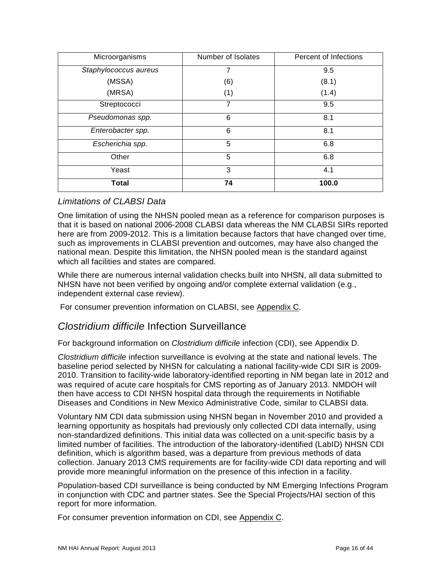| Microorganisms        | Number of Isolates | Percent of Infections |
|-----------------------|--------------------|-----------------------|
| Staphylococcus aureus |                    | 9.5                   |
| (MSSA)                | (6)                | (8.1)                 |
| (MRSA)                | (1)                | (1.4)                 |
| Streptococci          |                    | 9.5                   |
| Pseudomonas spp.      | 6                  | 8.1                   |
| Enterobacter spp.     | 6                  | 8.1                   |
| Escherichia spp.      | 5                  | 6.8                   |
| Other                 | 5                  | 6.8                   |
| Yeast                 | 3                  | 4.1                   |
| <b>Total</b>          | 74                 | 100.0                 |

#### *Limitations of CLABSI Data*

One limitation of using the NHSN pooled mean as a reference for comparison purposes is that it is based on national 2006-2008 CLABSI data whereas the NM CLABSI SIRs reported here are from 2009-2012. This is a limitation because factors that have changed over time, such as improvements in CLABSI prevention and outcomes, may have also changed the national mean. Despite this limitation, the NHSN pooled mean is the standard against which all facilities and states are compared.

While there are numerous internal validation checks built into NHSN, all data submitted to NHSN have not been verified by ongoing and/or complete external validation (e.g., independent external case review).

For consumer prevention information on CLABSI, see [Appendix C.](#page-32-0)

## <span id="page-16-0"></span>*Clostridium difficile* Infection Surveillance

For background information on *Clostridium difficile* infection (CDI), see [Appendix](#page-37-0) D.

*Clostridium difficile* infection surveillance is evolving at the state and national levels. The baseline period selected by NHSN for calculating a national facility-wide CDI SIR is 2009- 2010. Transition to facility-wide laboratory-identified reporting in NM began late in 2012 and was required of acute care hospitals for CMS reporting as of January 2013. NMDOH will then have access to CDI NHSN hospital data through the requirements in Notifiable Diseases and Conditions in New Mexico Administrative Code, similar to CLABSI data.

Voluntary NM CDI data submission using NHSN began in November 2010 and provided a learning opportunity as hospitals had previously only collected CDI data internally, using non-standardized definitions. This initial data was collected on a unit-specific basis by a limited number of facilities. The introduction of the laboratory-identified (LabID) NHSN CDI definition, which is algorithm based, was a departure from previous methods of data collection. January 2013 CMS requirements are for facility-wide CDI data reporting and will provide more meaningful information on the presence of this infection in a facility.

Population-based CDI surveillance is being conducted by NM Emerging Infections Program in conjunction with CDC and partner states. See the Special Projects/HAI section of this report for more information.

For consumer prevention information on CDI, see [Appendix C.](#page-32-0)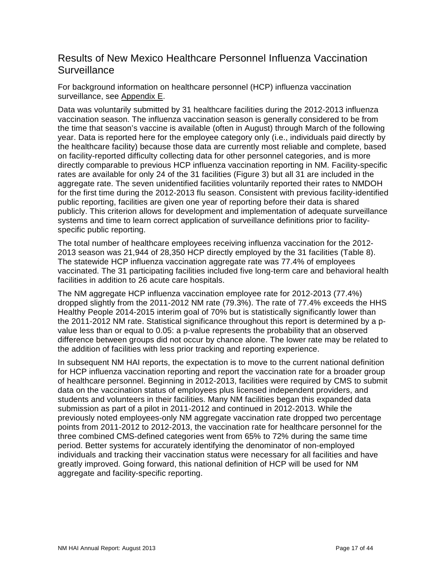## <span id="page-17-0"></span>Results of New Mexico Healthcare Personnel Influenza Vaccination **Surveillance**

For background information on healthcare personnel (HCP) influenza vaccination surveillance, see [Appendix E.](#page-39-0)

Data was voluntarily submitted by 31 healthcare facilities during the 2012-2013 influenza vaccination season. The influenza vaccination season is generally considered to be from the time that season's vaccine is available (often in August) through March of the following year. Data is reported here for the employee category only (i.e., individuals paid directly by the healthcare facility) because those data are currently most reliable and complete, based on facility-reported difficulty collecting data for other personnel categories, and is more directly comparable to previous HCP influenza vaccination reporting in NM. Facility-specific rates are available for only 24 of the 31 facilities (Figure 3) but all 31 are included in the aggregate rate. The seven unidentified facilities voluntarily reported their rates to NMDOH for the first time during the 2012-2013 flu season. Consistent with previous facility-identified public reporting, facilities are given one year of reporting before their data is shared publicly. This criterion allows for development and implementation of adequate surveillance systems and time to learn correct application of surveillance definitions prior to facilityspecific public reporting.

The total number of healthcare employees receiving influenza vaccination for the 2012- 2013 season was 21,944 of 28,350 HCP directly employed by the 31 facilities (Table 8). The statewide HCP influenza vaccination aggregate rate was 77.4% of employees vaccinated. The 31 participating facilities included five long-term care and behavioral health facilities in addition to 26 acute care hospitals.

The NM aggregate HCP influenza vaccination employee rate for 2012-2013 (77.4%) dropped slightly from the 2011-2012 NM rate (79.3%). The rate of 77.4% exceeds the HHS Healthy People 2014-2015 interim goal of 70% but is statistically significantly lower than the 2011-2012 NM rate. Statistical significance throughout this report is determined by a pvalue less than or equal to 0.05: a p-value represents the probability that an observed difference between groups did not occur by chance alone. The lower rate may be related to the addition of facilities with less prior tracking and reporting experience.

In subsequent NM HAI reports, the expectation is to move to the current national definition for HCP influenza vaccination reporting and report the vaccination rate for a broader group of healthcare personnel. Beginning in 2012-2013, facilities were required by CMS to submit data on the vaccination status of employees plus licensed independent providers, and students and volunteers in their facilities. Many NM facilities began this expanded data submission as part of a pilot in 2011-2012 and continued in 2012-2013. While the previously noted employees-only NM aggregate vaccination rate dropped two percentage points from 2011-2012 to 2012-2013, the vaccination rate for healthcare personnel for the three combined CMS-defined categories went from 65% to 72% during the same time period. Better systems for accurately identifying the denominator of non-employed individuals and tracking their vaccination status were necessary for all facilities and have greatly improved. Going forward, this national definition of HCP will be used for NM aggregate and facility-specific reporting.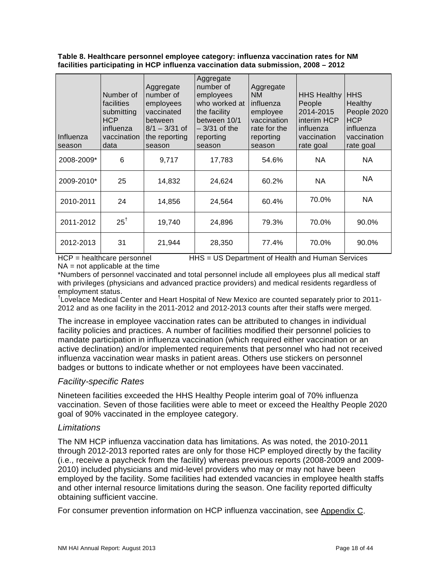#### <span id="page-18-0"></span>**Table 8. Healthcare personnel employee category: influenza vaccination rates for NM facilities participating in HCP influenza vaccination data submission, 2008 – 2012**

| Influenza<br>season | Number of<br>facilities<br>submitting<br><b>HCP</b><br>influenza<br>vaccination<br>data | Aggregate<br>number of<br>employees<br>vaccinated<br>between<br>$8/1 - 3/31$ of<br>the reporting<br>season | Aggregate<br>number of<br>employees<br>who worked at<br>the facility<br>between 10/1<br>$-3/31$ of the<br>reporting<br>season | Aggregate<br><b>NM</b><br>influenza<br>employee<br>vaccination<br>rate for the<br>reporting<br>season | <b>HHS Healthy</b><br>People<br>2014-2015<br>interim HCP<br>influenza<br>vaccination<br>rate goal | <b>HHS</b><br>Healthy<br>People 2020<br><b>HCP</b><br>influenza<br>vaccination<br>rate goal |
|---------------------|-----------------------------------------------------------------------------------------|------------------------------------------------------------------------------------------------------------|-------------------------------------------------------------------------------------------------------------------------------|-------------------------------------------------------------------------------------------------------|---------------------------------------------------------------------------------------------------|---------------------------------------------------------------------------------------------|
| 2008-2009*          | 6                                                                                       | 9,717                                                                                                      | 17,783                                                                                                                        | 54.6%                                                                                                 | NA                                                                                                | <b>NA</b>                                                                                   |
| 2009-2010*          | 25                                                                                      | 14,832                                                                                                     | 24,624                                                                                                                        | 60.2%                                                                                                 | NA.                                                                                               | <b>NA</b>                                                                                   |
| 2010-2011           | 24                                                                                      | 14,856                                                                                                     | 24,564                                                                                                                        | 60.4%                                                                                                 | 70.0%                                                                                             | NA.                                                                                         |
| 2011-2012           | $25^{\dagger}$                                                                          | 19,740                                                                                                     | 24,896                                                                                                                        | 79.3%                                                                                                 | 70.0%                                                                                             | 90.0%                                                                                       |
| 2012-2013           | 31                                                                                      | 21,944                                                                                                     | 28,350                                                                                                                        | 77.4%                                                                                                 | 70.0%                                                                                             | 90.0%                                                                                       |

HCP = healthcare personnel HHS = US Department of Health and Human Services  $NA = not applicable at the time$ 

\*Numbers of personnel vaccinated and total personnel include all employees plus all medical staff with privileges (physicians and advanced practice providers) and medical residents regardless of employment status. †

<sup>†</sup>Lovelace Medical Center and Heart Hospital of New Mexico are counted separately prior to 2011-2012 and as one facility in the 2011-2012 and 2012-2013 counts after their staffs were merged.

The increase in employee vaccination rates can be attributed to changes in individual facility policies and practices. A number of facilities modified their personnel policies to mandate participation in influenza vaccination (which required either vaccination or an active declination) and/or implemented requirements that personnel who had not received influenza vaccination wear masks in patient areas. Others use stickers on personnel badges or buttons to indicate whether or not employees have been vaccinated.

#### *Facility-specific Rates*

Nineteen facilities exceeded the HHS Healthy People interim goal of 70% influenza vaccination. Seven of those facilities were able to meet or exceed the Healthy People 2020 goal of 90% vaccinated in the employee category.

#### *Limitations*

The NM HCP influenza vaccination data has limitations. As was noted, the 2010-2011 through 2012-2013 reported rates are only for those HCP employed directly by the facility (i.e., receive a paycheck from the facility) whereas previous reports (2008-2009 and 2009- 2010) included physicians and mid-level providers who may or may not have been employed by the facility. Some facilities had extended vacancies in employee health staffs and other internal resource limitations during the season. One facility reported difficulty obtaining sufficient vaccine.

For consumer prevention information on HCP influenza vaccination, see [Appendix C.](#page-32-0)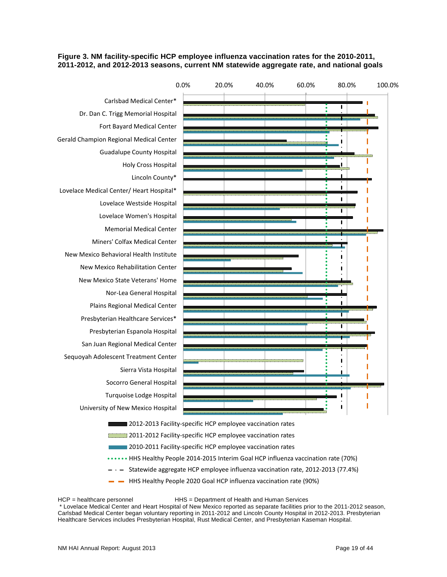#### <span id="page-19-0"></span>**Figure 3. NM facility-specific HCP employee influenza vaccination rates for the 2010-2011, 2011-2012, and 2012-2013 seasons, current NM statewide aggregate rate, and national goals**



- 2011-2012 Facility-specific HCP employee vaccination rates
	- 2010-2011 Facility-specific HCP employee vaccination rates
- **......** HHS Healthy People 2014-2015 Interim Goal HCP influenza vaccination rate (70%)
- Statewide aggregate HCP employee influenza vaccination rate, 2012-2013 (77.4%)
	- HHS Healthy People 2020 Goal HCP influenza vaccination rate (90%)

HCP = healthcare personnel HHS = Department of Health and Human Services

\* Lovelace Medical Center and Heart Hospital of New Mexico reported as separate facilities prior to the 2011-2012 season, Carlsbad Medical Center began voluntary reporting in 2011-2012 and Lincoln County Hospital in 2012-2013. Presbyterian Healthcare Services includes Presbyterian Hospital, Rust Medical Center, and Presbyterian Kaseman Hospital.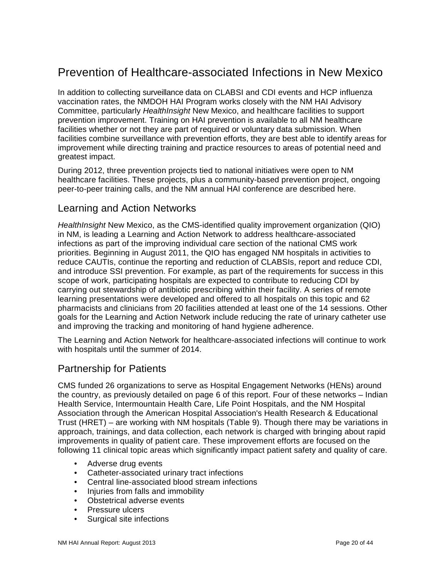# <span id="page-20-0"></span>Prevention of Healthcare-associated Infections in New Mexico

In addition to collecting surveillance data on CLABSI and CDI events and HCP influenza vaccination rates, the NMDOH HAI Program works closely with the NM HAI Advisory Committee, particularly *HealthInsight* New Mexico, and healthcare facilities to support prevention improvement. Training on HAI prevention is available to all NM healthcare facilities whether or not they are part of required or voluntary data submission. When facilities combine surveillance with prevention efforts, they are best able to identify areas for improvement while directing training and practice resources to areas of potential need and greatest impact.

During 2012, three prevention projects tied to national initiatives were open to NM healthcare facilities. These projects, plus a community-based prevention project, ongoing peer-to-peer training calls, and the NM annual HAI conference are described here.

## <span id="page-20-1"></span>Learning and Action Networks

*HealthInsight* New Mexico, as the CMS-identified quality improvement organization (QIO) in NM, is leading a Learning and Action Network to address healthcare-associated infections as part of the improving individual care section of the national CMS work priorities. Beginning in August 2011, the QIO has engaged NM hospitals in activities to reduce CAUTIs, continue the reporting and reduction of CLABSIs, report and reduce CDI, and introduce SSI prevention. For example, as part of the requirements for success in this scope of work, participating hospitals are expected to contribute to reducing CDI by carrying out stewardship of antibiotic prescribing within their facility. A series of remote learning presentations were developed and offered to all hospitals on this topic and 62 pharmacists and clinicians from 20 facilities attended at least one of the 14 sessions. Other goals for the Learning and Action Network include reducing the rate of urinary catheter use and improving the tracking and monitoring of hand hygiene adherence.

The Learning and Action Network for healthcare-associated infections will continue to work with hospitals until the summer of 2014.

## <span id="page-20-2"></span>Partnership for Patients

CMS funded 26 organizations to serve as Hospital Engagement Networks (HENs) around the country, as previously detailed on page 6 of this report. Four of these networks – Indian Health Service, Intermountain Health Care, Life Point Hospitals, and the NM Hospital Association through the American Hospital Association's Health Research & Educational Trust (HRET) – are working with NM hospitals (Table 9). Though there may be variations in approach, trainings, and data collection, each network is charged with bringing about rapid improvements in quality of patient care. These improvement efforts are focused on the following 11 clinical topic areas which significantly impact patient safety and quality of care.

- Adverse drug events
- Catheter-associated urinary tract infections
- Central line-associated blood stream infections
- Injuries from falls and immobility
- Obstetrical adverse events
- Pressure ulcers
- Surgical site infections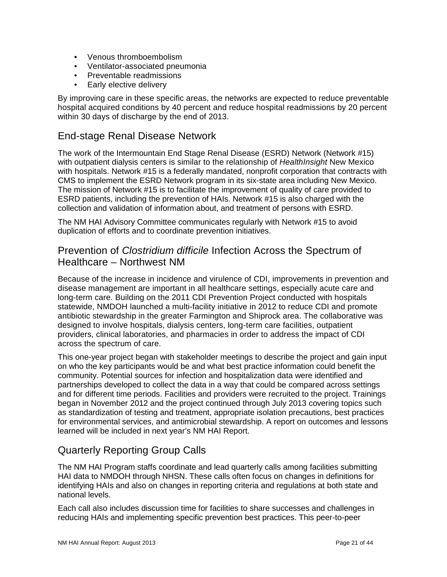- Venous thromboembolism
- Ventilator-associated pneumonia
- Preventable readmissions
- Early elective delivery

By improving care in these specific areas, the networks are expected to reduce preventable hospital acquired conditions by 40 percent and reduce hospital readmissions by 20 percent within 30 days of discharge by the end of 2013.

## <span id="page-21-0"></span>End-stage Renal Disease Network

The work of the Intermountain End Stage Renal Disease (ESRD) Network (Network #15) with outpatient dialysis centers is similar to the relationship of *HealthInsight* New Mexico with hospitals. Network #15 is a federally mandated, nonprofit corporation that contracts with CMS to implement the ESRD Network program in its six-state area including New Mexico. The mission of Network #15 is to facilitate the improvement of quality of care provided to ESRD patients, including the prevention of HAIs. Network #15 is also charged with the collection and validation of information about, and treatment of persons with ESRD.

The NM HAI Advisory Committee communicates regularly with Network #15 to avoid duplication of efforts and to coordinate prevention initiatives.

## <span id="page-21-1"></span>Prevention of *Clostridium difficile* Infection Across the Spectrum of Healthcare – Northwest NM

Because of the increase in incidence and virulence of CDI, improvements in prevention and disease management are important in all healthcare settings, especially acute care and long-term care. Building on the 2011 CDI Prevention Project conducted with hospitals statewide, NMDOH launched a multi-facility initiative in 2012 to reduce CDI and promote antibiotic stewardship in the greater Farmington and Shiprock area. The collaborative was designed to involve hospitals, dialysis centers, long-term care facilities, outpatient providers, clinical laboratories, and pharmacies in order to address the impact of CDI across the spectrum of care.

This one-year project began with stakeholder meetings to describe the project and gain input on who the key participants would be and what best practice information could benefit the community. Potential sources for infection and hospitalization data were identified and partnerships developed to collect the data in a way that could be compared across settings and for different time periods. Facilities and providers were recruited to the project. Trainings began in November 2012 and the project continued through July 2013 covering topics such as standardization of testing and treatment, appropriate isolation precautions, best practices for environmental services, and antimicrobial stewardship. A report on outcomes and lessons learned will be included in next year's NM HAI Report.

## <span id="page-21-2"></span>Quarterly Reporting Group Calls

The NM HAI Program staffs coordinate and lead quarterly calls among facilities submitting HAI data to NMDOH through NHSN. These calls often focus on changes in definitions for identifying HAIs and also on changes in reporting criteria and regulations at both state and national levels.

Each call also includes discussion time for facilities to share successes and challenges in reducing HAIs and implementing specific prevention best practices. This peer-to-peer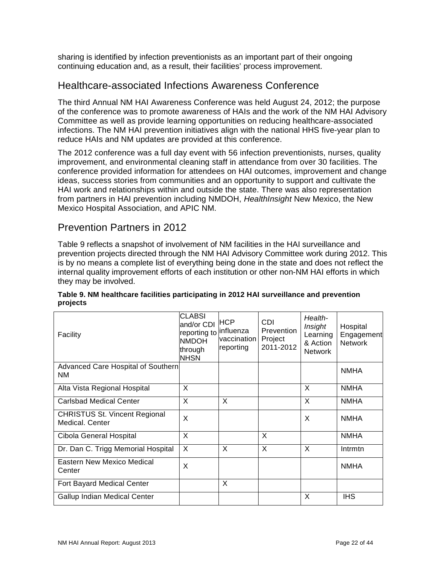sharing is identified by infection preventionists as an important part of their ongoing continuing education and, as a result, their facilities' process improvement.

### <span id="page-22-0"></span>Healthcare-associated Infections Awareness Conference

The third Annual NM HAI Awareness Conference was held August 24, 2012; the purpose of the conference was to promote awareness of HAIs and the work of the NM HAI Advisory Committee as well as provide learning opportunities on reducing healthcare-associated infections. The NM HAI prevention initiatives align with the national HHS five-year plan to reduce HAIs and NM updates are provided at this conference.

The 2012 conference was a full day event with 56 infection preventionists, nurses, quality improvement, and environmental cleaning staff in attendance from over 30 facilities. The conference provided information for attendees on HAI outcomes, improvement and change ideas, success stories from communities and an opportunity to support and cultivate the HAI work and relationships within and outside the state. There was also representation from partners in HAI prevention including NMDOH, *HealthInsight* New Mexico, the New Mexico Hospital Association, and APIC NM.

## <span id="page-22-1"></span>Prevention Partners in 2012

Table 9 reflects a snapshot of involvement of NM facilities in the HAI surveillance and prevention projects directed through the NM HAI Advisory Committee work during 2012. This is by no means a complete list of everything being done in the state and does not reflect the internal quality improvement efforts of each institution or other non-NM HAI efforts in which they may be involved.

| Facility                                                | <b>CLABSI</b><br>and/or CDI<br>reporting to<br><b>NMDOH</b><br>through<br><b>NHSN</b> | <b>HCP</b><br>linfluenza<br>lvaccination<br>reporting | CDI<br>Prevention<br>Project<br>2011-2012 | Health-<br>Insight<br>Learning<br>& Action<br><b>Network</b> | Hospital<br>Engagement<br><b>Network</b> |
|---------------------------------------------------------|---------------------------------------------------------------------------------------|-------------------------------------------------------|-------------------------------------------|--------------------------------------------------------------|------------------------------------------|
| Advanced Care Hospital of Southern<br>NM.               |                                                                                       |                                                       |                                           |                                                              | <b>NMHA</b>                              |
| Alta Vista Regional Hospital                            | X                                                                                     |                                                       |                                           | X                                                            | <b>NMHA</b>                              |
| <b>Carlsbad Medical Center</b>                          | X                                                                                     | X                                                     |                                           | X                                                            | <b>NMHA</b>                              |
| <b>CHRISTUS St. Vincent Regional</b><br>Medical, Center | X                                                                                     |                                                       |                                           | X                                                            | <b>NMHA</b>                              |
| Cibola General Hospital                                 | X                                                                                     |                                                       | X                                         |                                                              | <b>NMHA</b>                              |
| Dr. Dan C. Trigg Memorial Hospital                      | $\sf X$                                                                               | X                                                     | X                                         | X                                                            | Intrmtn                                  |
| Eastern New Mexico Medical<br>Center                    | X                                                                                     |                                                       |                                           |                                                              | <b>NMHA</b>                              |
| Fort Bayard Medical Center                              |                                                                                       | X                                                     |                                           |                                                              |                                          |
| Gallup Indian Medical Center                            |                                                                                       |                                                       |                                           | X                                                            | <b>IHS</b>                               |

#### <span id="page-22-2"></span>**Table 9. NM healthcare facilities participating in 2012 HAI surveillance and prevention projects**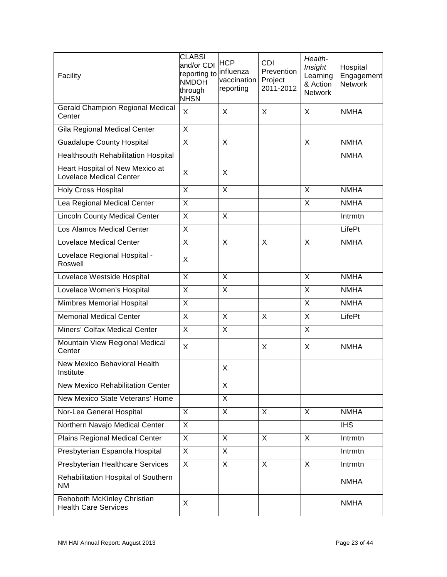| Facility                                                          | <b>CLABSI</b><br>and/or CDI<br>reporting to <sup> influenza</sup><br><b>NMDOH</b><br>through<br><b>NHSN</b> | <b>HCP</b><br>vaccination<br>reporting | <b>CDI</b><br>Prevention<br>Project<br>2011-2012 | Health-<br>Insight<br>Learning<br>& Action<br><b>Network</b> | Hospital<br>Engagement<br>Network |
|-------------------------------------------------------------------|-------------------------------------------------------------------------------------------------------------|----------------------------------------|--------------------------------------------------|--------------------------------------------------------------|-----------------------------------|
| <b>Gerald Champion Regional Medical</b><br>Center                 | X                                                                                                           | X                                      | X                                                | X                                                            | <b>NMHA</b>                       |
| Gila Regional Medical Center                                      | $\overline{X}$                                                                                              |                                        |                                                  |                                                              |                                   |
| <b>Guadalupe County Hospital</b>                                  | X                                                                                                           | X                                      |                                                  | X                                                            | <b>NMHA</b>                       |
| Healthsouth Rehabilitation Hospital                               |                                                                                                             |                                        |                                                  |                                                              | <b>NMHA</b>                       |
| Heart Hospital of New Mexico at<br><b>Lovelace Medical Center</b> | X                                                                                                           | X                                      |                                                  |                                                              |                                   |
| <b>Holy Cross Hospital</b>                                        | $\times$                                                                                                    | X                                      |                                                  | X                                                            | <b>NMHA</b>                       |
| Lea Regional Medical Center                                       | $\sf X$                                                                                                     |                                        |                                                  | X                                                            | <b>NMHA</b>                       |
| <b>Lincoln County Medical Center</b>                              | $\times$                                                                                                    | X                                      |                                                  |                                                              | Intrmtn                           |
| Los Alamos Medical Center                                         | $\sf X$                                                                                                     |                                        |                                                  |                                                              | LifePt                            |
| <b>Lovelace Medical Center</b>                                    | $\sf X$                                                                                                     | X                                      | X                                                | X                                                            | <b>NMHA</b>                       |
| Lovelace Regional Hospital -<br>Roswell                           | X                                                                                                           |                                        |                                                  |                                                              |                                   |
| Lovelace Westside Hospital                                        | $\overline{\mathsf{x}}$                                                                                     | $\overline{\mathsf{x}}$                |                                                  | X                                                            | <b>NMHA</b>                       |
| Lovelace Women's Hospital                                         | X                                                                                                           | $\overline{X}$                         |                                                  | X                                                            | <b>NMHA</b>                       |
| <b>Mimbres Memorial Hospital</b>                                  | $\overline{X}$                                                                                              |                                        |                                                  | X                                                            | <b>NMHA</b>                       |
| <b>Memorial Medical Center</b>                                    | $\overline{X}$                                                                                              | $\overline{X}$                         | X                                                | X                                                            | LifePt                            |
| Miners' Colfax Medical Center                                     | $\overline{X}$                                                                                              | $\overline{X}$                         |                                                  | X                                                            |                                   |
| Mountain View Regional Medical<br>Center                          | $\sf X$                                                                                                     |                                        | X                                                | X                                                            | <b>NMHA</b>                       |
| <b>New Mexico Behavioral Health</b><br>Institute                  |                                                                                                             | X                                      |                                                  |                                                              |                                   |
| <b>New Mexico Rehabilitation Center</b>                           |                                                                                                             | X                                      |                                                  |                                                              |                                   |
| New Mexico State Veterans' Home                                   |                                                                                                             | $\overline{\mathsf{x}}$                |                                                  |                                                              |                                   |
| Nor-Lea General Hospital                                          | X                                                                                                           | X                                      | X                                                | X                                                            | <b>NMHA</b>                       |
| Northern Navajo Medical Center                                    | $\overline{X}$                                                                                              |                                        |                                                  |                                                              | $\overline{IHS}$                  |
| <b>Plains Regional Medical Center</b>                             | X                                                                                                           | X                                      | X                                                | X                                                            | Intrmtn                           |
| Presbyterian Espanola Hospital                                    | $\overline{\mathsf{x}}$                                                                                     | X                                      |                                                  |                                                              | Intrmtn                           |
| Presbyterian Healthcare Services                                  | $\overline{X}$                                                                                              | X                                      | X                                                | X                                                            | Intrmtn                           |
| Rehabilitation Hospital of Southern<br>ΝM                         |                                                                                                             |                                        |                                                  |                                                              | <b>NMHA</b>                       |
| Rehoboth McKinley Christian<br><b>Health Care Services</b>        | X                                                                                                           |                                        |                                                  |                                                              | <b>NMHA</b>                       |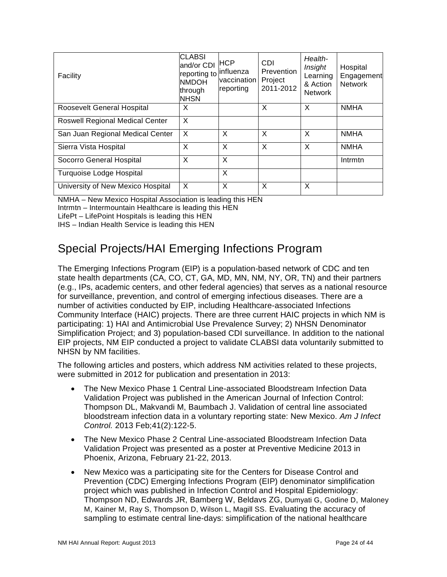| Facility                               | <b>CLABSI</b><br>land/or CDI<br>reporting to<br><b>NMDOH</b><br>through<br><b>NHSN</b> | HCP.<br>linfluenza<br>vaccination<br>reporting | CDI<br>Prevention<br>Project<br>2011-2012 | Health-<br>Insight<br>Learning<br>& Action<br><b>Network</b> | Hospital<br>Engagement<br><b>Network</b> |
|----------------------------------------|----------------------------------------------------------------------------------------|------------------------------------------------|-------------------------------------------|--------------------------------------------------------------|------------------------------------------|
| Roosevelt General Hospital             | X                                                                                      |                                                | X                                         | X                                                            | <b>NMHA</b>                              |
| <b>Roswell Regional Medical Center</b> | X                                                                                      |                                                |                                           |                                                              |                                          |
| San Juan Regional Medical Center       | $\mathsf{x}$                                                                           | X                                              | X                                         | $\times$                                                     | <b>NMHA</b>                              |
| Sierra Vista Hospital                  | X                                                                                      | X                                              | X                                         | X                                                            | <b>NMHA</b>                              |
| Socorro General Hospital               | X                                                                                      | X                                              |                                           |                                                              | Intrmtn                                  |
| Turquoise Lodge Hospital               |                                                                                        | X                                              |                                           |                                                              |                                          |
| University of New Mexico Hospital      | X                                                                                      | X                                              | X                                         | X                                                            |                                          |

NMHA – New Mexico Hospital Association is leading this HEN

Intrmtn – Intermountain Healthcare is leading this HEN

LifePt – LifePoint Hospitals is leading this HEN

<span id="page-24-0"></span>IHS – Indian Health Service is leading this HEN

# Special Projects/HAI Emerging Infections Program

The Emerging Infections Program (EIP) is a population-based network of CDC and ten state health departments (CA, CO, CT, GA, MD, MN, NM, NY, OR, TN) and their partners (e.g., IPs, academic centers, and other federal agencies) that serves as a national resource for surveillance, prevention, and control of emerging infectious diseases. There are a number of activities conducted by EIP, including Healthcare-associated Infections Community Interface (HAIC) projects. There are three current HAIC projects in which NM is participating: 1) HAI and Antimicrobial Use Prevalence Survey; 2) NHSN Denominator Simplification Project; and 3) population-based CDI surveillance. In addition to the national EIP projects, NM EIP conducted a project to validate CLABSI data voluntarily submitted to NHSN by NM facilities.

The following articles and posters, which address NM activities related to these projects, were submitted in 2012 for publication and presentation in 2013:

- The New Mexico Phase 1 Central Line-associated Bloodstream Infection Data Validation Project was published in the American Journal of Infection Control: Thompson DL, Makvandi M, Baumbach J. Validation of central line associated bloodstream infection data in a voluntary reporting state: New Mexico. *Am J Infect Control.* 2013 Feb;41(2):122-5.
- The New Mexico Phase 2 Central Line-associated Bloodstream Infection Data Validation Project was presented as a poster at Preventive Medicine 2013 in Phoenix, Arizona, February 21-22, 2013.
- New Mexico was a participating site for the Centers for Disease Control and Prevention (CDC) Emerging Infections Program (EIP) denominator simplification project which was published in Infection Control and Hospital Epidemiology: [Thompson ND,](http://www.ncbi.nlm.nih.gov/pubmed?term=Thompson%20ND%5BAuthor%5D&cauthor=true&cauthor_uid=23388355) [Edwards JR,](http://www.ncbi.nlm.nih.gov/pubmed?term=Edwards%20JR%5BAuthor%5D&cauthor=true&cauthor_uid=23388355) [Bamberg W,](http://www.ncbi.nlm.nih.gov/pubmed?term=Bamberg%20W%5BAuthor%5D&cauthor=true&cauthor_uid=23388355) [Beldavs ZG,](http://www.ncbi.nlm.nih.gov/pubmed?term=Beldavs%20ZG%5BAuthor%5D&cauthor=true&cauthor_uid=23388355) [Dumyati G,](http://www.ncbi.nlm.nih.gov/pubmed?term=Dumyati%20G%5BAuthor%5D&cauthor=true&cauthor_uid=23388355) [Godine D,](http://www.ncbi.nlm.nih.gov/pubmed?term=Godine%20D%5BAuthor%5D&cauthor=true&cauthor_uid=23388355) [Maloney](http://www.ncbi.nlm.nih.gov/pubmed?term=Maloney%20M%5BAuthor%5D&cauthor=true&cauthor_uid=23388355)  [M,](http://www.ncbi.nlm.nih.gov/pubmed?term=Maloney%20M%5BAuthor%5D&cauthor=true&cauthor_uid=23388355) [Kainer M,](http://www.ncbi.nlm.nih.gov/pubmed?term=Kainer%20M%5BAuthor%5D&cauthor=true&cauthor_uid=23388355) [Ray S,](http://www.ncbi.nlm.nih.gov/pubmed?term=Ray%20S%5BAuthor%5D&cauthor=true&cauthor_uid=23388355) [Thompson D,](http://www.ncbi.nlm.nih.gov/pubmed?term=Thompson%20D%5BAuthor%5D&cauthor=true&cauthor_uid=23388355) [Wilson L,](http://www.ncbi.nlm.nih.gov/pubmed?term=Wilson%20L%5BAuthor%5D&cauthor=true&cauthor_uid=23388355) [Magill SS.](http://www.ncbi.nlm.nih.gov/pubmed?term=Magill%20SS%5BAuthor%5D&cauthor=true&cauthor_uid=23388355) Evaluating the accuracy of sampling to estimate central line-days: simplification of the national healthcare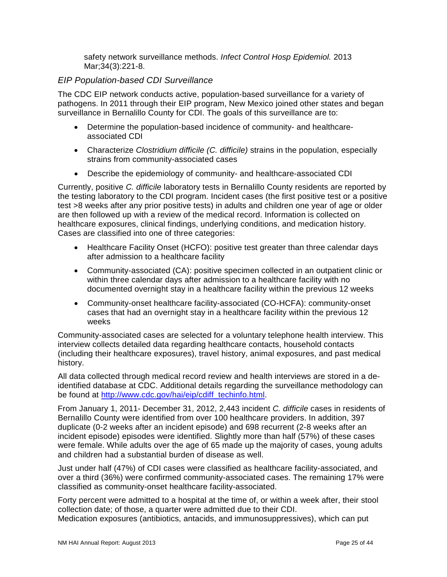safety network surveillance methods. *[Infect Control Hosp Epidemiol.](http://www.ncbi.nlm.nih.gov/pubmed/23388355)* 2013 Mar;34(3):221-8.

#### *EIP Population-based CDI Surveillance*

The CDC EIP network conducts active, population-based surveillance for a variety of pathogens. In 2011 through their EIP program, New Mexico joined other states and began surveillance in Bernalillo County for CDI. The goals of this surveillance are to:

- Determine the population-based incidence of community- and healthcareassociated CDI
- Characterize *Clostridium difficile (C. difficile)* strains in the population, especially strains from community-associated cases
- Describe the epidemiology of community- and healthcare-associated CDI

Currently, positive *C. difficile* laboratory tests in Bernalillo County residents are reported by the testing laboratory to the CDI program. Incident cases (the first positive test or a positive test >8 weeks after any prior positive tests) in adults and children one year of age or older are then followed up with a review of the medical record. Information is collected on healthcare exposures, clinical findings, underlying conditions, and medication history. Cases are classified into one of three categories:

- Healthcare Facility Onset (HCFO): positive test greater than three calendar days after admission to a healthcare facility
- Community-associated (CA): positive specimen collected in an outpatient clinic or within three calendar days after admission to a healthcare facility with no documented overnight stay in a healthcare facility within the previous 12 weeks
- Community-onset healthcare facility-associated (CO-HCFA): community-onset cases that had an overnight stay in a healthcare facility within the previous 12 weeks

Community-associated cases are selected for a voluntary telephone health interview. This interview collects detailed data regarding healthcare contacts, household contacts (including their healthcare exposures), travel history, animal exposures, and past medical history.

All data collected through medical record review and health interviews are stored in a deidentified database at CDC. Additional details regarding the surveillance methodology can be found at [http://www.cdc.gov/hai/eip/cdiff\\_techinfo.html.](http://www.cdc.gov/hai/eip/cdiff_techinfo.html)

From January 1, 2011- December 31, 2012, 2,443 incident *C. difficile* cases in residents of Bernalillo County were identified from over 100 healthcare providers. In addition, 397 duplicate (0-2 weeks after an incident episode) and 698 recurrent (2-8 weeks after an incident episode) episodes were identified. Slightly more than half (57%) of these cases were female. While adults over the age of 65 made up the majority of cases, young adults and children had a substantial burden of disease as well.

Just under half (47%) of CDI cases were classified as healthcare facility-associated, and over a third (36%) were confirmed community-associated cases. The remaining 17% were classified as community-onset healthcare facility-associated.

Forty percent were admitted to a hospital at the time of, or within a week after, their stool collection date; of those, a quarter were admitted due to their CDI. Medication exposures (antibiotics, antacids, and immunosuppressives), which can put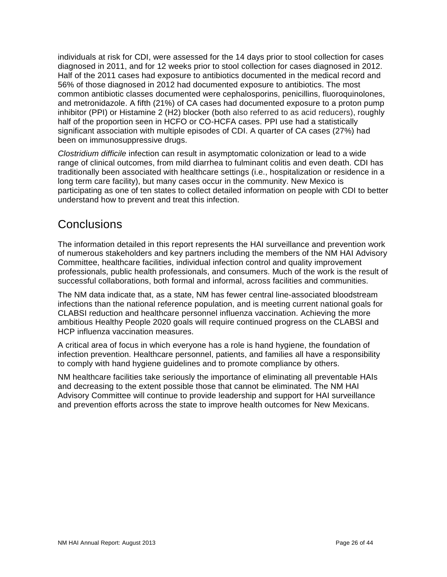individuals at risk for CDI, were assessed for the 14 days prior to stool collection for cases diagnosed in 2011, and for 12 weeks prior to stool collection for cases diagnosed in 2012. Half of the 2011 cases had exposure to antibiotics documented in the medical record and 56% of those diagnosed in 2012 had documented exposure to antibiotics. The most common antibiotic classes documented were cephalosporins, penicillins, fluoroquinolones, and metronidazole. A fifth (21%) of CA cases had documented exposure to a proton pump inhibitor (PPI) or Histamine 2 (H2) blocker (both also referred to as acid reducers), roughly half of the proportion seen in HCFO or CO-HCFA cases. PPI use had a statistically significant association with multiple episodes of CDI. A quarter of CA cases (27%) had been on immunosuppressive drugs.

*Clostridium difficile* infection can result in asymptomatic colonization or lead to a wide range of clinical outcomes, from mild diarrhea to fulminant colitis and even death. CDI has traditionally been associated with healthcare settings (i.e., hospitalization or residence in a long term care facility), but many cases occur in the community. New Mexico is participating as one of ten states to collect detailed information on people with CDI to better understand how to prevent and treat this infection.

# <span id="page-26-0"></span>**Conclusions**

The information detailed in this report represents the HAI surveillance and prevention work of numerous stakeholders and key partners including the members of the NM HAI Advisory Committee, healthcare facilities, individual infection control and quality improvement professionals, public health professionals, and consumers. Much of the work is the result of successful collaborations, both formal and informal, across facilities and communities.

The NM data indicate that, as a state, NM has fewer central line-associated bloodstream infections than the national reference population, and is meeting current national goals for CLABSI reduction and healthcare personnel influenza vaccination. Achieving the more ambitious Healthy People 2020 goals will require continued progress on the CLABSI and HCP influenza vaccination measures.

A critical area of focus in which everyone has a role is hand hygiene, the foundation of infection prevention. Healthcare personnel, patients, and families all have a responsibility to comply with hand hygiene guidelines and to promote compliance by others.

NM healthcare facilities take seriously the importance of eliminating all preventable HAIs and decreasing to the extent possible those that cannot be eliminated. The NM HAI Advisory Committee will continue to provide leadership and support for HAI surveillance and prevention efforts across the state to improve health outcomes for New Mexicans.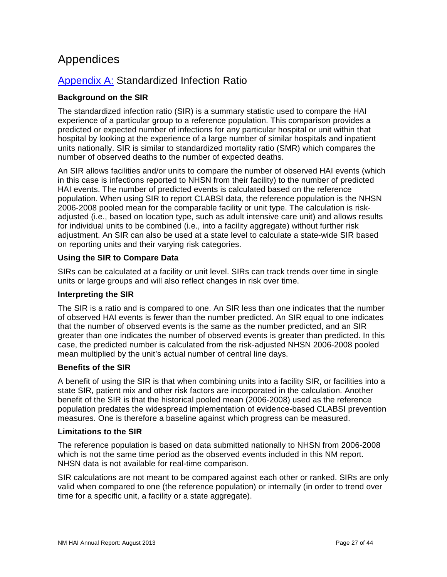# <span id="page-27-0"></span>Appendices

## <span id="page-27-1"></span>Appendix A: Standardized Infection Ratio

#### **Background on the SIR**

The standardized infection ratio (SIR) is a summary statistic used to compare the HAI experience of a particular group to a reference population. This comparison provides a predicted or expected number of infections for any particular hospital or unit within that hospital by looking at the experience of a large number of similar hospitals and inpatient units nationally. SIR is similar to standardized mortality ratio (SMR) which compares the number of observed deaths to the number of expected deaths.

An SIR allows facilities and/or units to compare the number of observed HAI events (which in this case is infections reported to NHSN from their facility) to the number of predicted HAI events. The number of predicted events is calculated based on the reference population. When using SIR to report CLABSI data, the reference population is the NHSN 2006-2008 pooled mean for the comparable facility or unit type. The calculation is riskadjusted (i.e., based on location type, such as adult intensive care unit) and allows results for individual units to be combined (i.e., into a facility aggregate) without further risk adjustment. An SIR can also be used at a state level to calculate a state-wide SIR based on reporting units and their varying risk categories.

#### **Using the SIR to Compare Data**

SIRs can be calculated at a facility or unit level. SIRs can track trends over time in single units or large groups and will also reflect changes in risk over time.

#### **Interpreting the SIR**

The SIR is a ratio and is compared to one. An SIR less than one indicates that the number of observed HAI events is fewer than the number predicted. An SIR equal to one indicates that the number of observed events is the same as the number predicted, and an SIR greater than one indicates the number of observed events is greater than predicted. In this case, the predicted number is calculated from the risk-adjusted NHSN 2006-2008 pooled mean multiplied by the unit's actual number of central line days.

#### **Benefits of the SIR**

A benefit of using the SIR is that when combining units into a facility SIR, or facilities into a state SIR, patient mix and other risk factors are incorporated in the calculation. Another benefit of the SIR is that the historical pooled mean (2006-2008) used as the reference population predates the widespread implementation of evidence-based CLABSI prevention measures. One is therefore a baseline against which progress can be measured.

#### **Limitations to the SIR**

The reference population is based on data submitted nationally to NHSN from 2006-2008 which is not the same time period as the observed events included in this NM report. NHSN data is not available for real-time comparison.

SIR calculations are not meant to be compared against each other or ranked. SIRs are only valid when compared to one (the reference population) or internally (in order to trend over time for a specific unit, a facility or a state aggregate).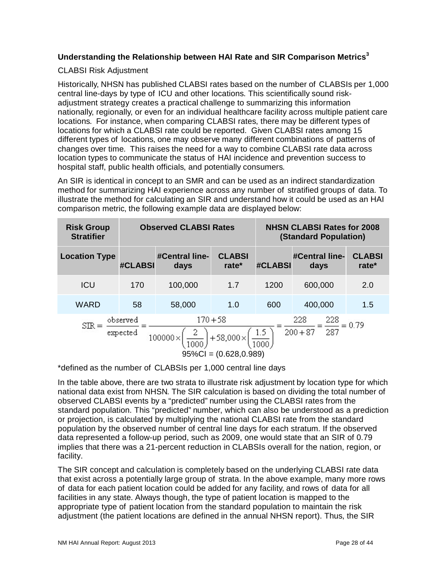#### **Understanding the Relationship between HAI Rate and SIR Comparison Metrics<sup>3</sup>**

#### CLABSI Risk Adjustment

Historically, NHSN has published CLABSI rates based on the number of CLABSIs per 1,000 central line-days by type of ICU and other locations. This scientifically sound riskadjustment strategy creates a practical challenge to summarizing this information nationally, regionally, or even for an individual healthcare facility across multiple patient care locations. For instance, when comparing CLABSI rates, there may be different types of locations for which a CLABSI rate could be reported. Given CLABSI rates among 15 different types of locations, one may observe many different combinations of patterns of changes over time. This raises the need for a way to combine CLABSI rate data across location types to communicate the status of HAI incidence and prevention success to hospital staff, public health officials, and potentially consumers.

An SIR is identical in concept to an SMR and can be used as an indirect standardization method for summarizing HAI experience across any number of stratified groups of data. To illustrate the method for calculating an SIR and understand how it could be used as an HAI comparison metric, the following example data are displayed below:

| <b>Risk Group</b><br><b>Stratifier</b>                                                                                                                                             |         | <b>Observed CLABSI Rates</b> |                        | <b>NHSN CLABSI Rates for 2008</b><br><b>(Standard Population)</b> |                        |                        |
|------------------------------------------------------------------------------------------------------------------------------------------------------------------------------------|---------|------------------------------|------------------------|-------------------------------------------------------------------|------------------------|------------------------|
| <b>Location Type</b>                                                                                                                                                               | #CLABSI | #Central line-<br>days       | <b>CLABSI</b><br>rate* | #CLABSI                                                           | #Central line-<br>days | <b>CLABSI</b><br>rate* |
| <b>ICU</b>                                                                                                                                                                         | 170     | 100,000                      | 1.7                    | 1200                                                              | 600,000                | 2.0                    |
| <b>WARD</b>                                                                                                                                                                        | 58      | 58,000                       | 1.0                    | 600                                                               | 400,000                | 1.5                    |
| $170 + 58$<br>228<br>228<br>observed<br>$= 0.79$<br><b>SIR</b><br>287<br>$200 + 87$<br>$\frac{1.5}{1.2}$ .<br>expected<br>$+58,000 \times$<br>100000×<br>$95\%CI = (0.628, 0.989)$ |         |                              |                        |                                                                   |                        |                        |

\*defined as the number of CLABSIs per 1,000 central line days

In the table above, there are two strata to illustrate risk adjustment by location type for which national data exist from NHSN. The SIR calculation is based on dividing the total number of observed CLABSI events by a "predicted" number using the CLABSI rates from the standard population. This "predicted" number, which can also be understood as a prediction or projection, is calculated by multiplying the national CLABSI rate from the standard population by the observed number of central line days for each stratum. If the observed data represented a follow-up period, such as 2009, one would state that an SIR of 0.79 implies that there was a 21-percent reduction in CLABSIs overall for the nation, region, or facility.

The SIR concept and calculation is completely based on the underlying CLABSI rate data that exist across a potentially large group of strata. In the above example, many more rows of data for each patient location could be added for any facility, and rows of data for all facilities in any state. Always though, the type of patient location is mapped to the appropriate type of patient location from the standard population to maintain the risk adjustment (the patient locations are defined in the annual NHSN report). Thus, the SIR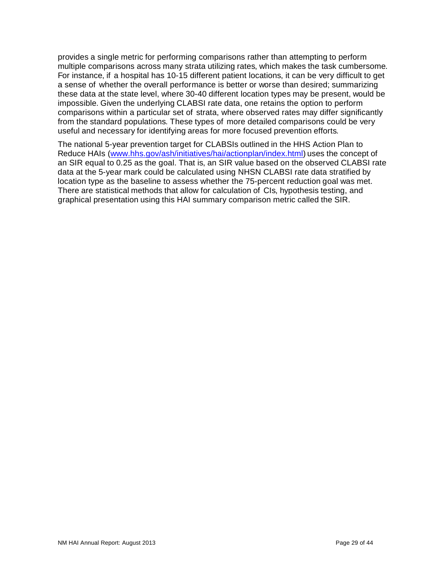provides a single metric for performing comparisons rather than attempting to perform multiple comparisons across many strata utilizing rates, which makes the task cumbersome. For instance, if a hospital has 10-15 different patient locations, it can be very difficult to get a sense of whether the overall performance is better or worse than desired; summarizing these data at the state level, where 30-40 different location types may be present, would be impossible. Given the underlying CLABSI rate data, one retains the option to perform comparisons within a particular set of strata, where observed rates may differ significantly from the standard populations. These types of more detailed comparisons could be very useful and necessary for identifying areas for more focused prevention efforts.

The national 5-year prevention target for CLABSIs outlined in the HHS Action Plan to Reduce HAIs [\(www.hhs.gov/ash/initiatives/hai/actionplan/index.html\)](http://www.hhs.gov/ash/initiatives/hai/actionplan/index.html) uses the concept of an SIR equal to 0.25 as the goal. That is, an SIR value based on the observed CLABSI rate data at the 5-year mark could be calculated using NHSN CLABSI rate data stratified by location type as the baseline to assess whether the 75-percent reduction goal was met. There are statistical methods that allow for calculation of CIs, hypothesis testing, and graphical presentation using this HAI summary comparison metric called the SIR.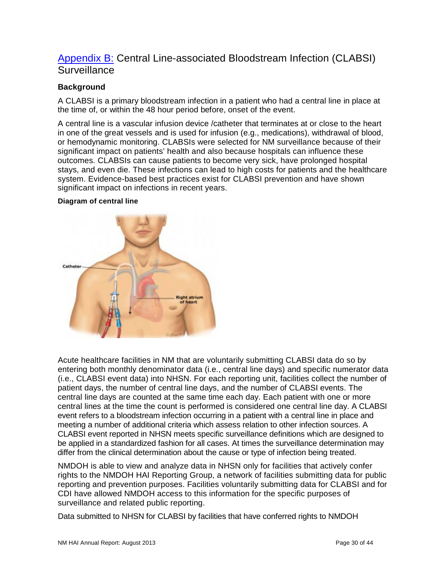## <span id="page-30-0"></span>Appendix B: Central Line-associated Bloodstream Infection (CLABSI) **Surveillance**

#### **Background**

A CLABSI is a primary bloodstream infection in a patient who had a central line in place at the time of, or within the 48 hour period before, onset of the event.

A central line is a vascular infusion device /catheter that terminates at or close to the heart in one of the great vessels and is used for infusion (e.g., medications), withdrawal of blood, or hemodynamic monitoring. CLABSIs were selected for NM surveillance because of their significant impact on patients' health and also because hospitals can influence these outcomes. CLABSIs can cause patients to become very sick, have prolonged hospital stays, and even die. These infections can lead to high costs for patients and the healthcare system. Evidence-based best practices exist for CLABSI prevention and have shown significant impact on infections in recent years.

#### **Diagram of central line**



Acute healthcare facilities in NM that are voluntarily submitting CLABSI data do so by entering both monthly denominator data (i.e., central line days) and specific numerator data (i.e., CLABSI event data) into NHSN. For each reporting unit, facilities collect the number of patient days, the number of central line days, and the number of CLABSI events. The central line days are counted at the same time each day. Each patient with one or more central lines at the time the count is performed is considered one central line day. A CLABSI event refers to a bloodstream infection occurring in a patient with a central line in place and meeting a number of additional criteria which assess relation to other infection sources. A CLABSI event reported in NHSN meets specific surveillance definitions which are designed to be applied in a standardized fashion for all cases. At times the surveillance determination may differ from the clinical determination about the cause or type of infection being treated.

NMDOH is able to view and analyze data in NHSN only for facilities that actively confer rights to the NMDOH HAI Reporting Group, a network of facilities submitting data for public reporting and prevention purposes. Facilities voluntarily submitting data for CLABSI and for CDI have allowed NMDOH access to this information for the specific purposes of surveillance and related public reporting.

Data submitted to NHSN for CLABSI by facilities that have conferred rights to NMDOH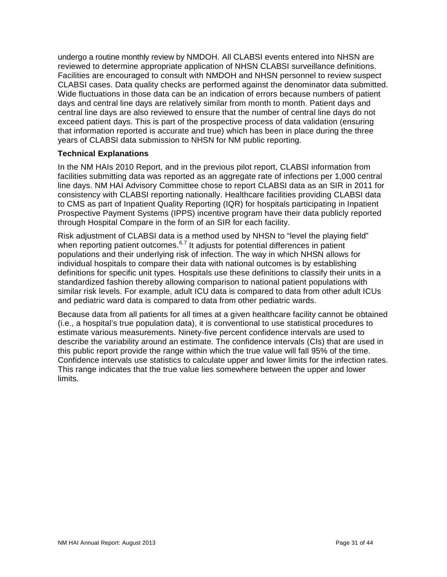undergo a routine monthly review by NMDOH. All CLABSI events entered into NHSN are reviewed to determine appropriate application of NHSN CLABSI surveillance definitions. Facilities are encouraged to consult with NMDOH and NHSN personnel to review suspect CLABSI cases. Data quality checks are performed against the denominator data submitted. Wide fluctuations in those data can be an indication of errors because numbers of patient days and central line days are relatively similar from month to month. Patient days and central line days are also reviewed to ensure that the number of central line days do not exceed patient days. This is part of the prospective process of data validation (ensuring that information reported is accurate and true) which has been in place during the three years of CLABSI data submission to NHSN for NM public reporting.

#### **Technical Explanations**

In the NM HAIs 2010 Report, and in the previous pilot report, CLABSI information from facilities submitting data was reported as an aggregate rate of infections per 1,000 central line days. NM HAI Advisory Committee chose to report CLABSI data as an SIR in 2011 for consistency with CLABSI reporting nationally. Healthcare facilities providing CLABSI data to CMS as part of Inpatient Quality Reporting (IQR) for hospitals participating in Inpatient Prospective Payment Systems (IPPS) incentive program have their data publicly reported through Hospital Compare in the form of an SIR for each facility.

Risk adjustment of CLABSI data is a method used by NHSN to "level the playing field" when reporting patient outcomes.<sup>[6,](#page-44-5)[7](#page-44-6)</sup> It adjusts for potential differences in patient populations and their underlying risk of infection. The way in which NHSN allows for individual hospitals to compare their data with national outcomes is by establishing definitions for specific unit types. Hospitals use these definitions to classify their units in a standardized fashion thereby allowing comparison to national patient populations with similar risk levels. For example, adult ICU data is compared to data from other adult ICUs and pediatric ward data is compared to data from other pediatric wards.

Because data from all patients for all times at a given healthcare facility cannot be obtained (i.e., a hospital's true population data), it is conventional to use statistical procedures to estimate various measurements. Ninety-five percent confidence intervals are used to describe the variability around an estimate. The confidence intervals (CIs) that are used in this public report provide the range within which the true value will fall 95% of the time. Confidence intervals use statistics to calculate upper and lower limits for the infection rates. This range indicates that the true value lies somewhere between the upper and lower limits.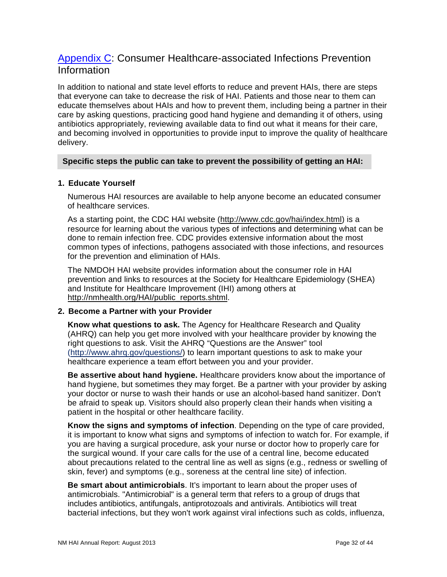## <span id="page-32-0"></span>[Appendix C:](#page-32-0) Consumer Healthcare-associated Infections Prevention Information

In addition to national and state level efforts to reduce and prevent HAIs, there are steps that everyone can take to decrease the risk of HAI. Patients and those near to them can educate themselves about HAIs and how to prevent them, including being a partner in their care by asking questions, practicing good hand hygiene and demanding it of others, using antibiotics appropriately, reviewing available data to find out what it means for their care, and becoming involved in opportunities to provide input to improve the quality of healthcare delivery.

#### **Specific steps the public can take to prevent the possibility of getting an HAI:**

#### **1. Educate Yourself**

Numerous HAI resources are available to help anyone become an educated consumer of healthcare services.

As a starting point, the CDC HAI website [\(http://www.cdc.gov/hai/index.html\)](http://www.cdc.gov/hai/index.html) is a resource for learning about the various types of infections and determining what can be done to remain infection free. CDC provides extensive information about the most common types of infections, pathogens associated with those infections, and resources for the prevention and elimination of HAIs.

The NMDOH HAI website provides information about the consumer role in HAI prevention and links to resources at the Society for Healthcare Epidemiology (SHEA) and Institute for Healthcare Improvement (IHI) among others at [http://nmhealth.org/HAI/public\\_reports.shtml.](http://nmhealth.org/HAI/public_reports.shtml)

#### **2. Become a Partner with your Provider**

**Know what questions to ask.** The Agency for Healthcare Research and Quality (AHRQ) can help you get more involved with your healthcare provider by knowing the right questions to ask. Visit the AHRQ "Questions are the Answer" tool [\(http://www.ahrq.gov/questions/\)](http://www.ahrq.gov/questions/) to learn important questions to ask to make your healthcare experience a team effort between you and your provider.

**Be assertive about hand hygiene.** Healthcare providers know about the importance of hand hygiene, but sometimes they may forget. Be a partner with your provider by asking your doctor or nurse to wash their hands or use an alcohol-based hand sanitizer. Don't be afraid to speak up. Visitors should also properly clean their hands when visiting a patient in the hospital or other healthcare facility.

**Know the signs and symptoms of infection**. Depending on the type of care provided, it is important to know what signs and symptoms of infection to watch for. For example, if you are having a surgical procedure, ask your nurse or doctor how to properly care for the surgical wound. If your care calls for the use of a central line, become educated about precautions related to the central line as well as signs (e.g., redness or swelling of skin, fever) and symptoms (e.g., soreness at the central line site) of infection.

**Be smart about antimicrobials**. It's important to learn about the proper uses of antimicrobials. "Antimicrobial" is a general term that refers to a group of drugs that includes antibiotics, antifungals, antiprotozoals and antivirals. Antibiotics will treat bacterial infections, but they won't work against viral infections such as colds, influenza,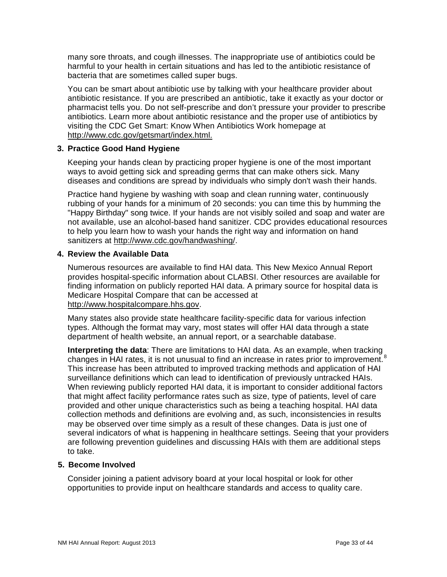many sore throats, and cough illnesses. The inappropriate use of antibiotics could be harmful to your health in certain situations and has led to the antibiotic resistance of bacteria that are sometimes called super bugs.

You can be smart about antibiotic use by talking with your healthcare provider about antibiotic resistance. If you are prescribed an antibiotic, take it exactly as your doctor or pharmacist tells you. Do not self-prescribe and don't pressure your provider to prescribe antibiotics. Learn more about antibiotic resistance and the proper use of antibiotics by visiting the CDC Get Smart: Know When Antibiotics Work homepage at [http://www.cdc.gov/getsmart/index.html.](http://www.cdc.gov/getsmart/index.html)

#### **3. Practice Good Hand Hygiene**

Keeping your hands clean by practicing proper hygiene is one of the most important ways to avoid getting sick and spreading germs that can make others sick. Many diseases and conditions are spread by individuals who simply don't wash their hands.

Practice hand hygiene by washing with soap and clean running water, continuously rubbing of your hands for a minimum of 20 seconds: you can time this by humming the "Happy Birthday" song twice. If your hands are not visibly soiled and soap and water are not available, use an alcohol-based hand sanitizer. CDC provides educational resources to help you learn how to wash your hands the right way and information on hand sanitizers at [http://www.cdc.gov/handwashing/.](http://www.cdc.gov/handwashing/)

#### **4. Review the Available Data**

Numerous resources are available to find HAI data. This New Mexico Annual Report provides hospital-specific information about CLABSI. Other resources are available for finding information on publicly reported HAI data. A primary source for hospital data is Medicare Hospital Compare that can be accessed at [http://www.hospitalcompare.hhs.gov.](http://www.hospitalcompare.hhs.gov/)

Many states also provide state healthcare facility-specific data for various infection types. Although the format may vary, most states will offer HAI data through a state department of health website, an annual report, or a searchable database.

**Interpreting the data**: There are limitations to HAI data. As an example, when tracking changes in HAI rates, it is not unusual to find an increase in rates prior to improvement.<sup>[8](#page-44-7)</sup> This increase has been attributed to improved tracking methods and application of HAI surveillance definitions which can lead to identification of previously untracked HAIs. When reviewing publicly reported HAI data, it is important to consider additional factors that might affect facility performance rates such as size, type of patients, level of care provided and other unique characteristics such as being a teaching hospital. HAI data collection methods and definitions are evolving and, as such, inconsistencies in results may be observed over time simply as a result of these changes. Data is just one of several indicators of what is happening in healthcare settings. Seeing that your providers are following prevention guidelines and discussing HAIs with them are additional steps to take.

#### **5. Become Involved**

Consider joining a patient advisory board at your local hospital or look for other opportunities to provide input on healthcare standards and access to quality care.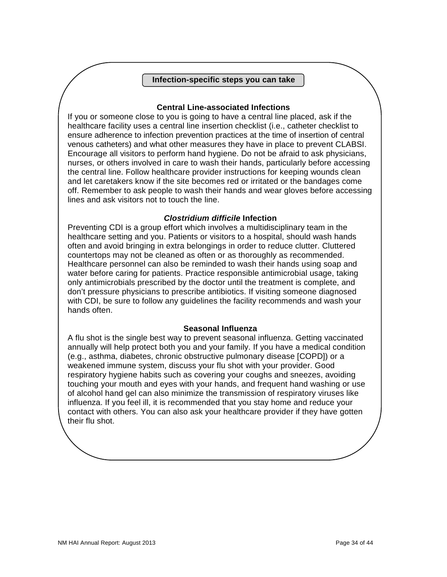#### **Infection-specific steps you can take**

#### **Central Line-associated Infections**

If you or someone close to you is going to have a central line placed, ask if the healthcare facility uses a central line insertion checklist (i.e., catheter checklist to ensure adherence to infection prevention practices at the time of insertion of central venous catheters) and what other measures they have in place to prevent CLABSI. Encourage all visitors to perform hand hygiene. Do not be afraid to ask physicians, nurses, or others involved in care to wash their hands, particularly before accessing the central line. Follow healthcare provider instructions for keeping wounds clean and let caretakers know if the site becomes red or irritated or the bandages come off. Remember to ask people to wash their hands and wear gloves before accessing lines and ask visitors not to touch the line.

#### *Clostridium difficile* **Infection**

Preventing CDI is a group effort which involves a multidisciplinary team in the healthcare setting and you. Patients or visitors to a hospital, should wash hands often and avoid bringing in extra belongings in order to reduce clutter. Cluttered countertops may not be cleaned as often or as thoroughly as recommended. Healthcare personnel can also be reminded to wash their hands using soap and water before caring for patients. Practice responsible antimicrobial usage, taking only antimicrobials prescribed by the doctor until the treatment is complete, and don't pressure physicians to prescribe antibiotics. If visiting someone diagnosed with CDI, be sure to follow any guidelines the facility recommends and wash your hands often.

#### **Seasonal Influenza**

A flu shot is the single best way to prevent seasonal influenza. Getting vaccinated annually will help protect both you and your family. If you have a medical condition (e.g., asthma, diabetes, chronic obstructive pulmonary disease [COPD]) or a weakened immune system, discuss your flu shot with your provider. Good respiratory hygiene habits such as covering your coughs and sneezes, avoiding touching your mouth and eyes with your hands, and frequent hand washing or use of alcohol hand gel can also minimize the transmission of respiratory viruses like influenza. If you feel ill, it is recommended that you stay home and reduce your contact with others. You can also ask your healthcare provider if they have gotten their flu shot.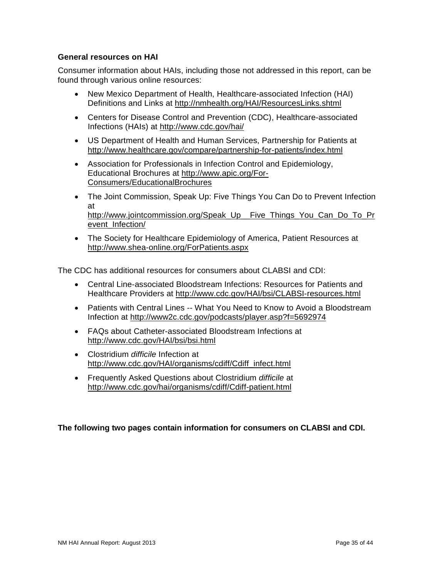#### **General resources on HAI**

Consumer information about HAIs, including those not addressed in this report, can be found through various online resources:

- New Mexico Department of Health, Healthcare-associated Infection (HAI) Definitions and Links at<http://nmhealth.org/HAI/ResourcesLinks.shtml>
- Centers for Disease Control and Prevention (CDC), Healthcare-associated Infections (HAIs) at<http://www.cdc.gov/hai/>
- US Department of Health and Human Services, Partnership for Patients at <http://www.healthcare.gov/compare/partnership-for-patients/index.html>
- Association for Professionals in Infection Control and Epidemiology, Educational Brochures at [http://www.apic.org/For-](http://www.apic.org/For-Consumers/EducationalBrochures)[Consumers/EducationalBrochures](http://www.apic.org/For-Consumers/EducationalBrochures)
- The Joint Commission, Speak Up: Five Things You Can Do to Prevent Infection at [http://www.jointcommission.org/Speak\\_Up\\_\\_Five\\_Things\\_You\\_Can\\_Do\\_To\\_Pr](http://www.jointcommission.org/Speak_Up__Five_Things_You_Can_Do_To_Prevent_Infection/) [event\\_Infection/](http://www.jointcommission.org/Speak_Up__Five_Things_You_Can_Do_To_Prevent_Infection/)
- The Society for Healthcare Epidemiology of America, Patient Resources at <http://www.shea-online.org/ForPatients.aspx>

The CDC has additional resources for consumers about CLABSI and CDI:

- Central Line-associated Bloodstream Infections: Resources for Patients and Healthcare Providers at<http://www.cdc.gov/HAI/bsi/CLABSI-resources.html>
- Patients with Central Lines -- What You Need to Know to Avoid a Bloodstream Infection at<http://www2c.cdc.gov/podcasts/player.asp?f=5692974>
- FAQs about Catheter-associated Bloodstream Infections at <http://www.cdc.gov/HAI/bsi/bsi.html>
- Clostridium *difficile* Infection at [http://www.cdc.gov/HAI/organisms/cdiff/Cdiff\\_infect.html](http://www.cdc.gov/HAI/organisms/cdiff/Cdiff_infect.html)
- Frequently Asked Questions about Clostridium *difficile* at <http://www.cdc.gov/hai/organisms/cdiff/Cdiff-patient.html>

#### **The following two pages contain information for consumers on CLABSI and CDI.**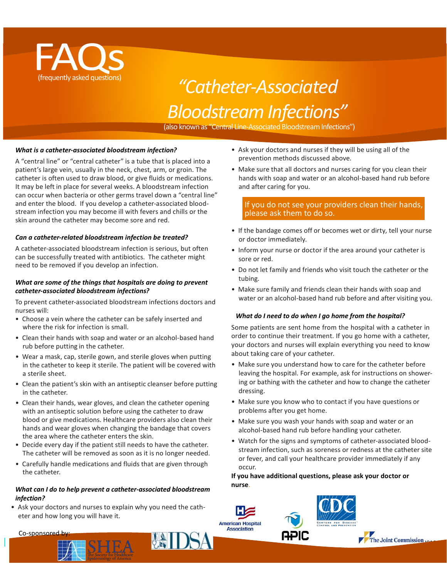

# (frequently asked questions) *"Catheter-Associated BloodstreamInfections"*

(also known as "Central Line-Associated Bloodstream Infections")

#### *What is a catheter-associated bloodstream infection?*

A "central line" or "central catheter" is a tube that is placed into a patient's large vein, usually in the neck, chest, arm, or groin. The catheter is often used to draw blood, or give fluids or medications. It may be left in place for several weeks. A bloodstream infection can occur when bacteria or other germs travel down a "central line" and enter the blood. If you develop a catheter-associated bloodstream infection you may become ill with fevers and chills or the skin around the catheter may become sore and red.

#### *Can a catheter-related bloodstream infection be treated?*

A catheter-associated bloodstream infection is serious, but often can be successfully treated with antibiotics. The catheter might need to be removed if you develop an infection.

#### *What are some of the things that hospitals are doing to prevent catheter-associated bloodstream infections?*

To prevent catheter-associated bloodstream infections doctors and nurses will:

- Choose a vein where the catheter can be safely inserted and where the risk for infection is small.
- Clean their hands with soap and water or an alcohol-based hand rub before putting in the catheter.
- Wear a mask, cap, sterile gown, and sterile gloves when putting in the catheter to keep it sterile. The patient will be covered with a sterile sheet.
- Clean the patient's skin with an antiseptic cleanser before putting in the catheter.
- Clean their hands, wear gloves, and clean the catheter opening with an antiseptic solution before using the catheter to draw blood or give medications. Healthcare providers also clean their hands and wear gloves when changing the bandage that covers the area where the catheter enters the skin.
- Decide every day if the patient still needs to have the catheter. The catheter will be removed as soon as it is no longer needed.
- Carefully handle medications and fluids that are given through the catheter.

#### *What can I do to help prevent a catheter-associated bloodstream infection?*

• Ask your doctors and nurses to explain why you need the catheter and how long you will have it.

- Ask your doctors and nurses if they will be using all of the prevention methods discussed above.
- Make sure that all doctors and nurses caring for you clean their hands with soap and water or an alcohol-based hand rub before and after caring for you.

#### If you do not see your providers clean their hands, please ask them to do so.

- If the bandage comes off or becomes wet or dirty, tell your nurse or doctor immediately.
- Inform your nurse or doctor if the area around your catheter is sore or red.
- Do not let family and friends who visit touch the catheter or the tubing.
- Make sure family and friends clean their hands with soap and water or an alcohol-based hand rub before and after visiting you.

#### *What do I need to do when I go home from the hospital?*

Some patients are sent home from the hospital with a catheter in order to continue their treatment. If you go home with a catheter, your doctors and nurses will explain everything you need to know about taking care of your catheter.

- Make sure you understand how to care for the catheter before leaving the hospital. For example, ask for instructions on showering or bathing with the catheter and how to change the catheter dressing.
- Make sure you know who to contact if you have questions or problems after you get home.
- Make sure you wash your hands with soap and water or an alcohol-based hand rub before handling your catheter.
- Watch for the signs and symptoms of catheter-associated bloodstream infection, such as soreness or redness at the catheter site or fever, and call your healthcare provider immediately if any occur.

**If you have additional questions, please ask your doctor or nurse**.







Co-sponsored by: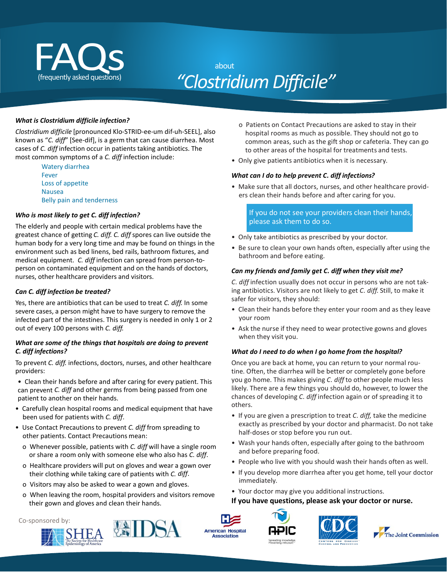<span id="page-37-0"></span>

# *"ClostridiumDifficile"*

#### *What is Clostridium difficile infection?*

*Clostridium difficile* [pronounced Klo-STRID-ee-um dif-uh-SEEL], also known as "*C. diff*" [See-dif], is a germ that can cause diarrhea. Most cases of *C. diff* infection occur in patients taking antibiotics. The most common symptoms of a *C. diff* infection include:

> Watery diarrhea Fever Loss of appetite Nausea Belly pain and tenderness

#### *Who is most likely to get C. diff infection?*

The elderly and people with certain medical problems have the greatest chance of getting *C. diff. C. diff* spores can live outside the human body for a very long time and may be found on things in the environment such as bed linens, bed rails, bathroom fixtures, and medical equipment. *C. diff* infection can spread from person-toperson on contaminated equipment and on the hands of doctors, nurses, other healthcare providers and visitors.

#### *Can C. diff infection be treated?*

Yes, there are antibiotics that can be used to treat *C. diff.* In some severe cases, a person might have to have surgery to remove the infected part of the intestines. This surgery is needed in only 1 or 2 out of every 100 persons with *C. diff.*

#### *What are some of the things that hospitals are doing to prevent C. diff infections?*

To prevent *C. diff.* infections, doctors, nurses, and other healthcare providers:

- Clean their hands before and after caring for every patient. This can prevent *C. diff* and other germs from being passed from one patient to another on their hands.
- Carefully clean hospital rooms and medical equipment that have been used for patients with *C. diff*.
- Use Contact Precautionsto prevent *C. diff* from spreading to other patients. Contact Precautions mean:
	- o Whenever possible, patients with *C. diff* will have a single room or share a room only with someone else who also has *C. diff*.
	- o Healthcare providers will put on gloves and wear a gown over their clothing while taking care of patients with *C. diff*.
	- o Visitors may also be asked to wear a gown and gloves.
	- o When leaving the room, hospital providers and visitors remove their gown and gloves and clean their hands.
- Co-sponsored by:





- o Patients on Contact Precautions are asked to stay in their hospital rooms as much as possible. They should not go to common areas, such as the gift shop or cafeteria. They can go to other areas of the hospital for treatments and tests.
- Only give patients antibiotics when it is necessary.

#### *What can I do to help prevent C. diff infections?*

• Make sure that all doctors, nurses, and other healthcare providers clean their hands before and after caring for you.

If you do not see your providers clean their hands, please ask them to do so.

- Only take antibiotics as prescribed by your doctor.
- Be sure to clean your own hands often, especially after using the bathroom and before eating.

#### *Can my friends and family get C. diff when they visit me?*

*C. diff* infection usually does not occur in persons who are not taking antibiotics. Visitors are not likely to get *C. diff*. Still, to make it safer for visitors, they should:

- Clean their hands before they enter your room and as they leave your room
- Ask the nurse if they need to wear protective gowns and gloves when they visit you.

#### *What do I need to do when I go home from the hospital?*

Once you are back at home, you can return to your normal routine. Often, the diarrhea will be better or completely gone before you go home. This makes giving *C. diff* to other people much less likely. There are a few things you should do, however, to lower the chances of developing *C. diff* infection again or of spreading it to others.

- If you are given a prescription to treat *C. diff,* take the medicine exactly as prescribed by your doctor and pharmacist. Do not take half-doses or stop before you run out.
- Wash your hands often, especially after going to the bathroom and before preparing food.
- People who live with you should wash their hands often as well.
- If you develop more diarrhea after you get home, tell your doctor immediately.
- Your doctor may give you additional instructions.

#### **If you have questions, please ask your doctor or nurse.**







**American Hospital** Association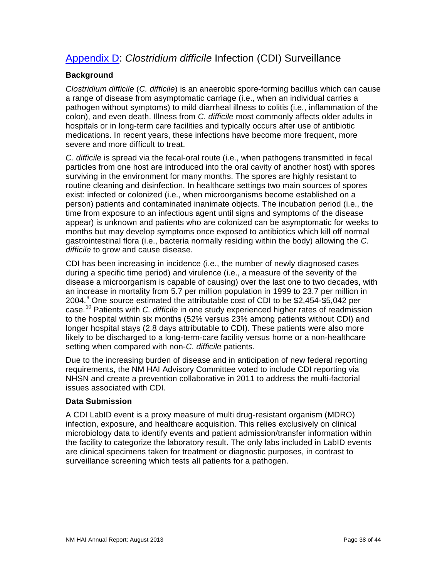## <span id="page-38-0"></span>[Appendix D:](#page-37-0) *Clostridium difficile* Infection (CDI) Surveillance

#### **Background**

*Clostridium difficile* (*C. difficile*) is an anaerobic spore-forming bacillus which can cause a range of disease from asymptomatic carriage (i.e., when an individual carries a pathogen without symptoms) to mild diarrheal illness to colitis (i.e., inflammation of the colon), and even death. Illness from *C. difficile* most commonly affects older adults in hospitals or in long-term care facilities and typically occurs after use of antibiotic medications. In recent years, these infections have become more frequent, more severe and more difficult to treat.

*C. difficile* is spread via the fecal-oral route (i.e., when pathogens transmitted in fecal particles from one host are introduced into the oral cavity of another host) with spores surviving in the environment for many months. The spores are highly resistant to routine cleaning and disinfection. In healthcare settings two main sources of spores exist: infected or colonized (i.e., when microorganisms become established on a person) patients and contaminated inanimate objects. The incubation period (i.e., the time from exposure to an infectious agent until signs and symptoms of the disease appear) is unknown and patients who are colonized can be asymptomatic for weeks to months but may develop symptoms once exposed to antibiotics which kill off normal gastrointestinal flora (i.e., bacteria normally residing within the body) allowing the *C. difficile* to grow and cause disease.

CDI has been increasing in incidence (i.e., the number of newly diagnosed cases during a specific time period) and virulence (i.e., a measure of the severity of the disease a microorganism is capable of causing) over the last one to two decades, with an increase in mortality from 5.7 per million population in 1999 to 23.7 per million in 2004.<sup>[9](#page-44-8)</sup> One source estimated the attributable cost of CDI to be \$2,454-\$5,042 per case.[10](#page-44-9) Patients with *C. difficile* in one study experienced higher rates of readmission to the hospital within six months (52% versus 23% among patients without CDI) and longer hospital stays (2.8 days attributable to CDI). These patients were also more likely to be discharged to a long-term-care facility versus home or a non-healthcare setting when compared with non-*C. difficile* patients.

Due to the increasing burden of disease and in anticipation of new federal reporting requirements, the NM HAI Advisory Committee voted to include CDI reporting via NHSN and create a prevention collaborative in 2011 to address the multi-factorial issues associated with CDI.

#### **Data Submission**

A CDI LabID event is a proxy measure of multi drug-resistant organism (MDRO) infection, exposure, and healthcare acquisition. This relies exclusively on clinical microbiology data to identify events and patient admission/transfer information within the facility to categorize the laboratory result. The only labs included in LabID events are clinical specimens taken for treatment or diagnostic purposes, in contrast to surveillance screening which tests all patients for a pathogen.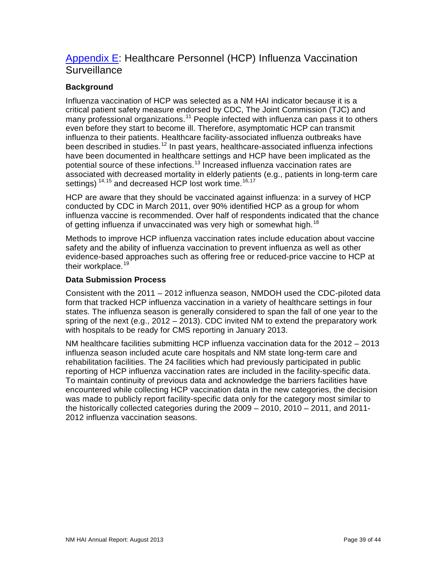## <span id="page-39-0"></span>[Appendix E:](#page-39-0) Healthcare Personnel (HCP) Influenza Vaccination **Surveillance**

#### **Background**

Influenza vaccination of HCP was selected as a NM HAI indicator because it is a critical patient safety measure endorsed by CDC, The Joint Commission (TJC) and many professional organizations.<sup>[11](#page-44-10)</sup> People infected with influenza can pass it to others even before they start to become ill. Therefore, asymptomatic HCP can transmit influenza to their patients. Healthcare facility-associated influenza outbreaks have been described in studies.<sup>[12](#page-44-11)</sup> In past years, healthcare-associated influenza infections have been documented in healthcare settings and HCP have been implicated as the potential source of these infections.<sup>[13](#page-44-12)</sup> Increased influenza vaccination rates are associated with decreased mortality in elderly patients (e.g., patients in long-term care settings) <sup>[14,](#page-44-13)[15](#page-44-14)</sup> and decreased HCP lost work time.<sup>[16,](#page-44-15)[17](#page-44-16)</sup>

HCP are aware that they should be vaccinated against influenza: in a survey of HCP conducted by CDC in March 2011, over 90% identified HCP as a group for whom influenza vaccine is recommended. Over half of respondents indicated that the chance of getting influenza if unvaccinated was very high or somewhat high.<sup>[18](#page-44-17)</sup>

Methods to improve HCP influenza vaccination rates include education about vaccine safety and the ability of influenza vaccination to prevent influenza as well as other evidence-based approaches such as offering free or reduced-price vaccine to HCP at their workplace.<sup>[19](#page-44-18)</sup>

#### **Data Submission Process**

Consistent with the 2011 – 2012 influenza season, NMDOH used the CDC-piloted data form that tracked HCP influenza vaccination in a variety of healthcare settings in four states. The influenza season is generally considered to span the fall of one year to the spring of the next (e.g., 2012 – 2013). CDC invited NM to extend the preparatory work with hospitals to be ready for CMS reporting in January 2013.

NM healthcare facilities submitting HCP influenza vaccination data for the 2012 – 2013 influenza season included acute care hospitals and NM state long-term care and rehabilitation facilities. The 24 facilities which had previously participated in public reporting of HCP influenza vaccination rates are included in the facility-specific data. To maintain continuity of previous data and acknowledge the barriers facilities have encountered while collecting HCP vaccination data in the new categories, the decision was made to publicly report facility-specific data only for the category most similar to the historically collected categories during the 2009 – 2010, 2010 – 2011, and 2011- 2012 influenza vaccination seasons.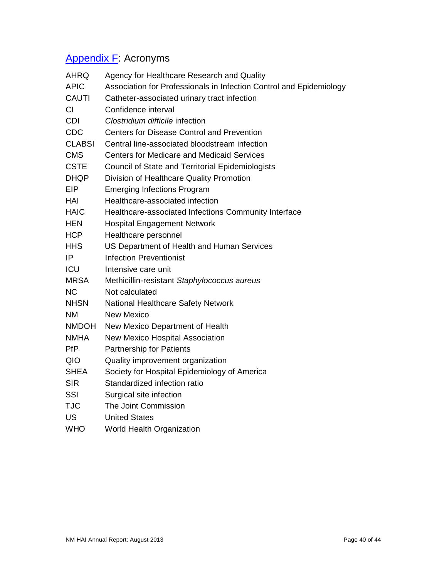# <span id="page-40-0"></span>[Appendix](#page-40-0) F: Acronyms

| <b>AHRQ</b>   | Agency for Healthcare Research and Quality                          |
|---------------|---------------------------------------------------------------------|
| <b>APIC</b>   | Association for Professionals in Infection Control and Epidemiology |
| <b>CAUTI</b>  | Catheter-associated urinary tract infection                         |
| CI            | Confidence interval                                                 |
| <b>CDI</b>    | Clostridium difficile infection                                     |
| <b>CDC</b>    | <b>Centers for Disease Control and Prevention</b>                   |
| <b>CLABSI</b> | Central line-associated bloodstream infection                       |
| <b>CMS</b>    | <b>Centers for Medicare and Medicaid Services</b>                   |
| <b>CSTE</b>   | <b>Council of State and Territorial Epidemiologists</b>             |
| <b>DHQP</b>   | Division of Healthcare Quality Promotion                            |
| <b>EIP</b>    | <b>Emerging Infections Program</b>                                  |
| <b>HAI</b>    | Healthcare-associated infection                                     |
| <b>HAIC</b>   | Healthcare-associated Infections Community Interface                |
| <b>HEN</b>    | <b>Hospital Engagement Network</b>                                  |
| <b>HCP</b>    | Healthcare personnel                                                |
| <b>HHS</b>    | US Department of Health and Human Services                          |
| IP            | <b>Infection Preventionist</b>                                      |
| ICU           | Intensive care unit                                                 |
| MRSA          | Methicillin-resistant Staphylococcus aureus                         |
| <b>NC</b>     | Not calculated                                                      |
| <b>NHSN</b>   | National Healthcare Safety Network                                  |
| <b>NM</b>     | <b>New Mexico</b>                                                   |
| <b>NMDOH</b>  | New Mexico Department of Health                                     |
| <b>NMHA</b>   | New Mexico Hospital Association                                     |
| <b>PfP</b>    | <b>Partnership for Patients</b>                                     |
| QIO           | Quality improvement organization                                    |
| <b>SHEA</b>   | Society for Hospital Epidemiology of America                        |
| <b>SIR</b>    | Standardized infection ratio                                        |
| <b>SSI</b>    | Surgical site infection                                             |
| <b>TJC</b>    | The Joint Commission                                                |
| US            | <b>United States</b>                                                |
| <b>WHO</b>    | World Health Organization                                           |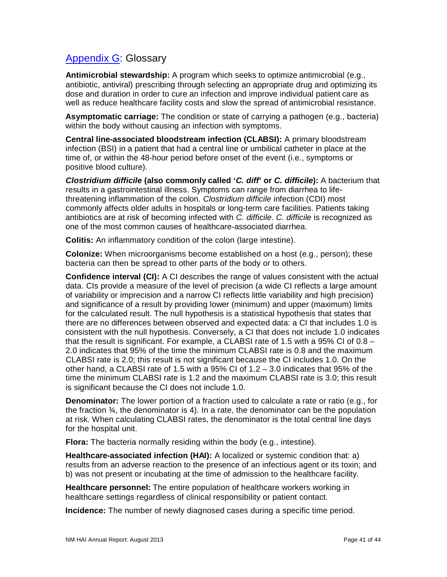## <span id="page-41-0"></span>[Appendix G:](#page-41-0) Glossary

**Antimicrobial stewardship:** A program which seeks to optimize antimicrobial (e.g., antibiotic, antiviral) prescribing through selecting an appropriate drug and optimizing its dose and duration in order to cure an infection and improve individual patient care as well as reduce healthcare facility costs and slow the spread of antimicrobial resistance.

**Asymptomatic carriage:** The condition or state of carrying a pathogen (e.g., bacteria) within the body without causing an infection with symptoms.

**Central line-associated bloodstream infection (CLABSI):** A primary bloodstream infection (BSI) in a patient that had a central line or umbilical catheter in place at the time of, or within the 48-hour period before onset of the event (i.e., symptoms or positive blood culture).

*Clostridium difficile* **(also commonly called '***C. diff***' or** *C. difficile***):** A bacterium that results in a gastrointestinal illness. Symptoms can range from diarrhea to lifethreatening inflammation of the colon. *Clostridium difficile* infection (CDI) most commonly affects older adults in hospitals or long-term care facilities. Patients taking antibiotics are at risk of becoming infected with *C. difficile*. *C. difficile* is recognized as one of the most common causes of healthcare-associated diarrhea.

**Colitis:** An inflammatory condition of the colon (large intestine).

**Colonize:** When microorganisms become established on a host (e.g., person); these bacteria can then be spread to other parts of the body or to others.

**Confidence interval (CI):** A CI describes the range of values consistent with the actual data. CIs provide a measure of the level of precision (a wide CI reflects a large amount of variability or imprecision and a narrow CI reflects little variability and high precision) and significance of a result by providing lower (minimum) and upper (maximum) limits for the calculated result. The null hypothesis is a statistical hypothesis that states that there are no differences between observed and expected data: a CI that includes 1.0 is consistent with the null hypothesis. Conversely, a CI that does not include 1.0 indicates that the result is significant. For example, a CLABSI rate of 1.5 with a 95% CI of 0.8 – 2.0 indicates that 95% of the time the minimum CLABSI rate is 0.8 and the maximum CLABSI rate is 2.0; this result is not significant because the CI includes 1.0. On the other hand, a CLABSI rate of 1.5 with a 95% CI of  $1.2 - 3.0$  indicates that 95% of the time the minimum CLABSI rate is 1.2 and the maximum CLABSI rate is 3.0; this result is significant because the CI does not include 1.0.

**Denominator:** The lower portion of a fraction used to calculate a rate or ratio (e.g., for the fraction ¾, the denominator is 4). In a rate, the denominator can be the population at risk. When calculating CLABSI rates, the denominator is the total central line days for the hospital unit.

**Flora:** The bacteria normally residing within the body (e.g., intestine).

**Healthcare-associated infection (HAI):** A localized or systemic condition that: a) results from an adverse reaction to the presence of an infectious agent or its toxin; and b) was not present or incubating at the time of admission to the healthcare facility.

**Healthcare personnel:** The entire population of healthcare workers working in healthcare settings regardless of clinical responsibility or patient contact.

**Incidence:** The number of newly diagnosed cases during a specific time period.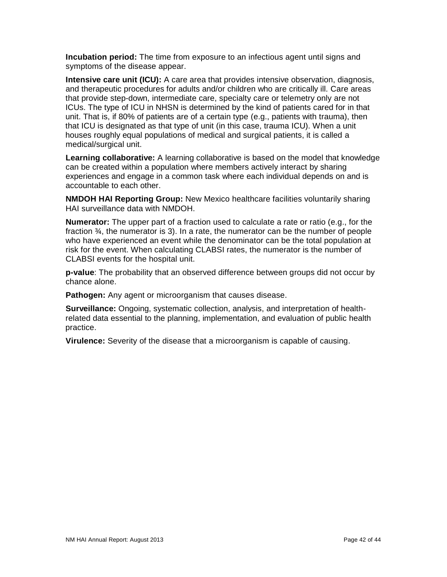**Incubation period:** The time from exposure to an infectious agent until signs and symptoms of the disease appear.

**Intensive care unit (ICU):** A care area that provides intensive observation, diagnosis, and therapeutic procedures for adults and/or children who are critically ill. Care areas that provide step-down, intermediate care, specialty care or telemetry only are not ICUs. The type of ICU in NHSN is determined by the kind of patients cared for in that unit. That is, if 80% of patients are of a certain type (e.g., patients with trauma), then that ICU is designated as that type of unit (in this case, trauma ICU). When a unit houses roughly equal populations of medical and surgical patients, it is called a medical/surgical unit.

**Learning collaborative:** A learning collaborative is based on the model that knowledge can be created within a population where members actively interact by sharing experiences and engage in a common task where each individual depends on and is accountable to each other.

**NMDOH HAI Reporting Group:** New Mexico healthcare facilities voluntarily sharing HAI surveillance data with NMDOH.

**Numerator:** The upper part of a fraction used to calculate a rate or ratio (e.g., for the fraction ¾, the numerator is 3). In a rate, the numerator can be the number of people who have experienced an event while the denominator can be the total population at risk for the event. When calculating CLABSI rates, the numerator is the number of CLABSI events for the hospital unit.

**p-value**: The probability that an observed difference between groups did not occur by chance alone.

**Pathogen:** Any agent or microorganism that causes disease.

**Surveillance:** Ongoing, systematic collection, analysis, and interpretation of healthrelated data essential to the planning, implementation, and evaluation of public health practice.

**Virulence:** Severity of the disease that a microorganism is capable of causing.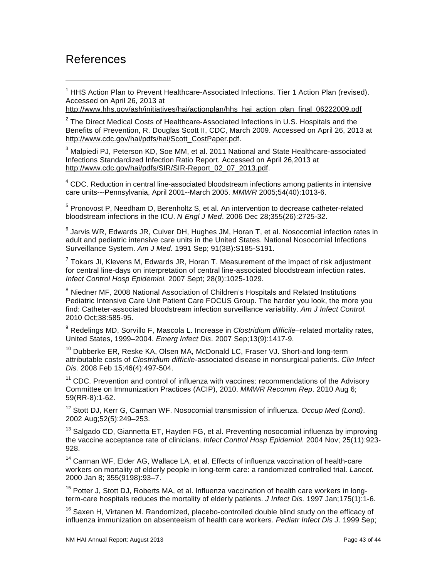## <span id="page-43-0"></span>References

 $\ddot{\phantom{a}}$ 

- $1$  HHS Action Plan to Prevent Healthcare-Associated Infections. Tier 1 Action Plan (revised). Accessed on April 26, 2013 at
- [http://www.hhs.gov/ash/initiatives/hai/actionplan/hhs\\_hai\\_action\\_plan\\_final\\_06222009.pdf](http://www.hhs.gov/ash/initiatives/hai/actionplan/hhs_hai_action_plan_final_06222009.pdf)

 $2$  The Direct Medical Costs of Healthcare-Associated Infections in U.S. Hospitals and the Benefits of Prevention, R. Douglas Scott II, CDC, March 2009. Accessed on April 26, 2013 at [http://www.cdc.gov/hai/pdfs/hai/Scott\\_CostPaper.pdf.](http://www.cdc.gov/hai/pdfs/hai/Scott_CostPaper.pdf)

<sup>3</sup> Malpiedi PJ, Peterson KD, Soe MM, et al. 2011 National and State Healthcare-associated Infections Standardized Infection Ratio Report. Accessed on April 26,2013 at [http://www.cdc.gov/hai/pdfs/SIR/SIR-Report\\_02\\_07\\_2013.pdf.](http://www.cdc.gov/hai/pdfs/SIR/SIR-Report_02_07_2013.pdf)

<sup>4</sup> CDC. Reduction in central line-associated bloodstream infections among patients in intensive care units---Pennsylvania, April 2001--March 2005. *MMWR* 2005;54(40):1013-6.

<sup>5</sup> Pronovost P, Needham D, Berenholtz S, et al. An intervention to decrease catheter-related bloodstream infections in the ICU. *N Engl J Med*. 2006 Dec 28;355(26):2725-32.

 $^6$  Jarvis WR, Edwards JR, Culver DH, Hughes JM, Horan T, et al. Nosocomial infection rates in adult and pediatric intensive care units in the United States. National Nosocomial Infections Surveillance System. *Am J Med.* 1991 Sep; 91(3B):S185-S191.

 $7$  Tokars JI, Klevens M, Edwards JR, Horan T. Measurement of the impact of risk adjustment for central line-days on interpretation of central line-associated bloodstream infection rates. *Infect Control Hosp Epidemiol.* 2007 Sept; 28(9):1025-1029.

<sup>8</sup> Niedner MF, 2008 National Association of Children's Hospitals and Related Institutions Pediatric Intensive Care Unit Patient Care FOCUS Group. The harder you look, the more you find: Catheter-associated bloodstream infection surveillance variability. *Am J Infect Control.* 2010 Oct;38:585-95.

<sup>9</sup> Redelings MD, Sorvillo F, Mascola L. Increase in *Clostridium difficile*–related mortality rates, United States, 1999–2004. *Emerg Infect Dis*. 2007 Sep;13(9):1417-9.

<sup>10</sup> Dubberke ER, Reske KA, Olsen MA, McDonald LC, Fraser VJ. Short-and long-term attributable costs of *Clostridium difficile*-associated disease in nonsurgical patients. *Clin Infect Dis.* 2008 Feb 15;46(4):497-504.

 $11$  CDC. Prevention and control of influenza with vaccines: recommendations of the Advisory Committee on Immunization Practices (ACIP), 2010. *MMWR Recomm Rep*. 2010 Aug 6; 59(RR-8):1-62.

<sup>12</sup> Stott DJ, Kerr G, Carman WF. Nosocomial transmission of influenza. *Occup Med (Lond)*. 2002 Aug;52(5):249–253.

 $13$  Salgado CD, Giannetta ET, Hayden FG, et al. Preventing nosocomial influenza by improving the vaccine acceptance rate of clinicians. *Infect Control Hosp Epidemiol.* 2004 Nov; 25(11):923- 928.

<sup>14</sup> Carman WF, Elder AG, Wallace LA, et al. Effects of influenza vaccination of health-care workers on mortality of elderly people in long-term care: a randomized controlled trial. *Lancet.* 2000 Jan 8; 355(9198):93–7.

<sup>15</sup> Potter J, Stott DJ, Roberts MA, et al. Influenza vaccination of health care workers in longterm-care hospitals reduces the mortality of elderly patients. *J Infect Dis.* 1997 Jan;175(1):1-6.

 $16$  Saxen H, Virtanen M. Randomized, placebo-controlled double blind study on the efficacy of influenza immunization on absenteeism of health care workers. *Pediatr Infect Dis J*. 1999 Sep;